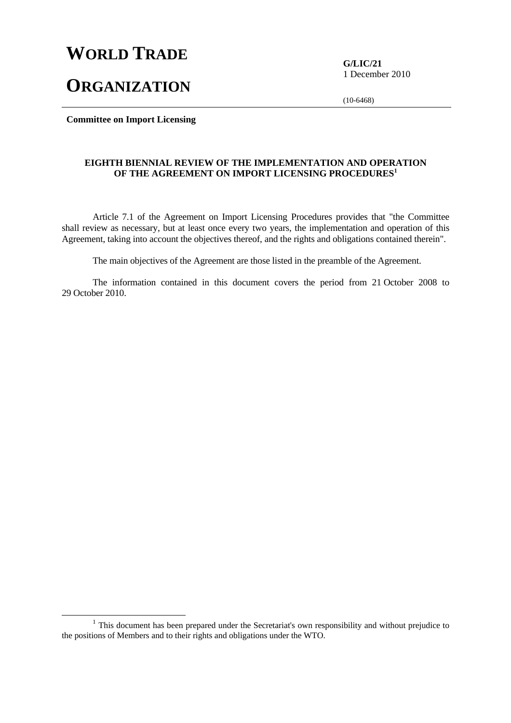# **WORLD TRADE**

**ORGANIZATION**

**G/LIC/21**  1 December 2010

(10-6468)

**Committee on Import Licensing** 

#### **EIGHTH BIENNIAL REVIEW OF THE IMPLEMENTATION AND OPERATION OF THE AGREEMENT ON IMPORT LICENSING PROCEDURES<sup>1</sup>**

 Article 7.1 of the Agreement on Import Licensing Procedures provides that "the Committee shall review as necessary, but at least once every two years, the implementation and operation of this Agreement, taking into account the objectives thereof, and the rights and obligations contained therein".

The main objectives of the Agreement are those listed in the preamble of the Agreement.

 The information contained in this document covers the period from 21 October 2008 to 29 October 2010.

<sup>&</sup>lt;sup>1</sup> This document has been prepared under the Secretariat's own responsibility and without prejudice to the positions of Members and to their rights and obligations under the WTO.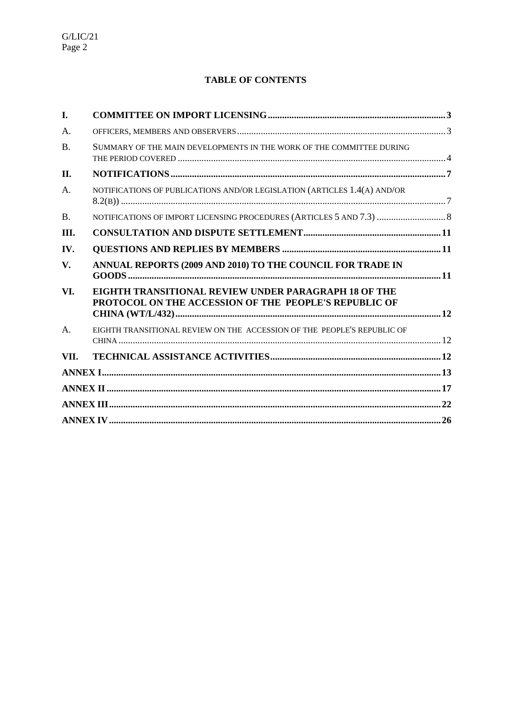# **TABLE OF CONTENTS**

| I.        |                                                                                                                      |  |
|-----------|----------------------------------------------------------------------------------------------------------------------|--|
| A.        |                                                                                                                      |  |
| <b>B.</b> | SUMMARY OF THE MAIN DEVELOPMENTS IN THE WORK OF THE COMMITTEE DURING                                                 |  |
| П.        |                                                                                                                      |  |
| A.        | NOTIFICATIONS OF PUBLICATIONS AND/OR LEGISLATION (ARTICLES 1.4(A) AND/OR                                             |  |
| <b>B.</b> |                                                                                                                      |  |
| Ш.        |                                                                                                                      |  |
| IV.       |                                                                                                                      |  |
| V.        | ANNUAL REPORTS (2009 AND 2010) TO THE COUNCIL FOR TRADE IN                                                           |  |
| VI.       | <b>EIGHTH TRANSITIONAL REVIEW UNDER PARAGRAPH 18 OF THE</b><br>PROTOCOL ON THE ACCESSION OF THE PEOPLE'S REPUBLIC OF |  |
| A.        | EIGHTH TRANSITIONAL REVIEW ON THE ACCESSION OF THE PEOPLE'S REPUBLIC OF                                              |  |
| VII.      |                                                                                                                      |  |
|           |                                                                                                                      |  |
|           |                                                                                                                      |  |
|           |                                                                                                                      |  |
|           |                                                                                                                      |  |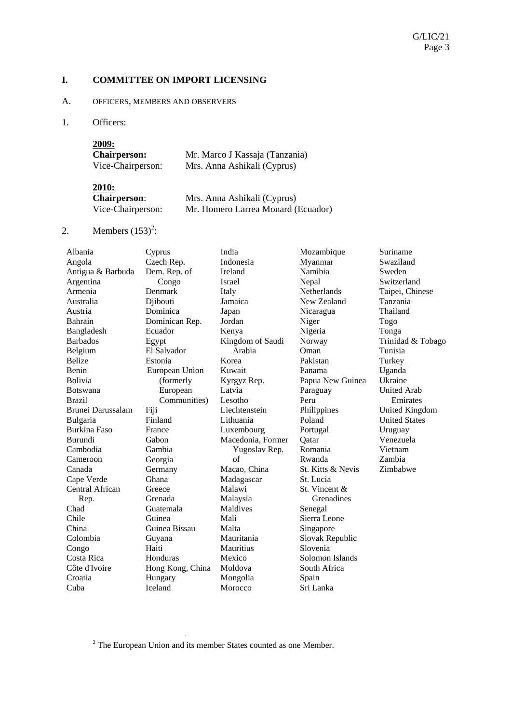#### **I. COMMITTEE ON IMPORT LICENSING**

#### A. OFFICERS, MEMBERS AND OBSERVERS

1. Officers:

| 2009:               |                                |
|---------------------|--------------------------------|
| <b>Chairperson:</b> | Mr. Marco J Kassaja (Tanzania) |
| Vice-Chairperson:   | Mrs. Anna Ashikali (Cyprus)    |

| <b>2010:</b>        |                                    |
|---------------------|------------------------------------|
| <b>Chairperson:</b> | Mrs. Anna Ashikali (Cyprus)        |
| Vice-Chairperson:   | Mr. Homero Larrea Monard (Ecuador) |

# 2. Members  $(153)^2$ :

| Albania             | Cyprus           | India             | Mozambique         | Suriname              |
|---------------------|------------------|-------------------|--------------------|-----------------------|
| Angola              | Czech Rep.       | Indonesia         | Myanmar            | Swaziland             |
| Antigua & Barbuda   | Dem. Rep. of     | Ireland           | Namibia            | Sweden                |
| Argentina           | Congo            | Israel            | Nepal              | Switzerland           |
| Armenia             | Denmark          | Italy             | <b>Netherlands</b> | Taipei, Chinese       |
| Australia           | Djibouti         | Jamaica           | New Zealand        | Tanzania              |
| Austria             | Dominica         | Japan             | Nicaragua          | Thailand              |
| Bahrain             | Dominican Rep.   | Jordan            | Niger              | Togo                  |
| Bangladesh          | Ecuador          | Kenya             | Nigeria            | Tonga                 |
| <b>Barbados</b>     | Egypt            | Kingdom of Saudi  | Norway             | Trinidad & Tobago     |
| Belgium             | El Salvador      | Arabia            | Oman               | Tunisia               |
| <b>Belize</b>       | Estonia          | Korea             | Pakistan           | Turkey                |
| Benin               | European Union   | Kuwait            | Panama             | Uganda                |
| <b>Bolivia</b>      | (formerly        | Kyrgyz Rep.       | Papua New Guinea   | Ukraine               |
| <b>Botswana</b>     | European         | Latvia            | Paraguay           | <b>United Arab</b>    |
| <b>Brazil</b>       | Communities)     | Lesotho           | Peru               | Emirates              |
| Brunei Darussalam   | Fiji             | Liechtenstein     | Philippines        | <b>United Kingdom</b> |
| Bulgaria            | Finland          | Lithuania         | Poland             | <b>United States</b>  |
| <b>Burkina Faso</b> | France           | Luxembourg        | Portugal           | Uruguay               |
| <b>Burundi</b>      | Gabon            | Macedonia, Former | Qatar              | Venezuela             |
| Cambodia            | Gambia           | Yugoslav Rep.     | Romania            | Vietnam               |
| Cameroon            | Georgia          | of                | Rwanda             | Zambia                |
| Canada              | Germany          | Macao, China      | St. Kitts & Nevis  | Zimbabwe              |
| Cape Verde          | Ghana            | Madagascar        | St. Lucia          |                       |
| Central African     | Greece           | Malawi            | St. Vincent &      |                       |
| Rep.                | Grenada          | Malaysia          | Grenadines         |                       |
| Chad                | Guatemala        | Maldives          | Senegal            |                       |
| Chile               | Guinea           | Mali              | Sierra Leone       |                       |
| China               | Guinea Bissau    | Malta             | Singapore          |                       |
| Colombia            | Guyana           | Mauritania        | Slovak Republic    |                       |
| Congo               | Haiti            | Mauritius         | Slovenia           |                       |
| Costa Rica          | Honduras         | Mexico            | Solomon Islands    |                       |
| Côte d'Ivoire       | Hong Kong, China | Moldova           | South Africa       |                       |
| Croatia             | Hungary          | Mongolia          | Spain              |                       |
| Cuba                | <b>Iceland</b>   | Morocco           | Sri Lanka          |                       |
|                     |                  |                   |                    |                       |

 <sup>2</sup> The European Union and its member States counted as one Member.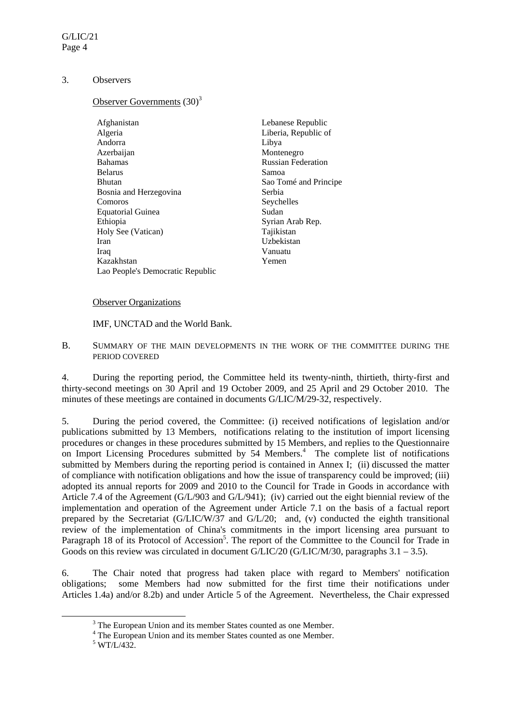#### 3. Observers

# Observer Governments  $(30)^3$

| Afghanistan                      | Lebanese Republic         |
|----------------------------------|---------------------------|
|                                  |                           |
| Algeria                          | Liberia, Republic of      |
| Andorra                          | Libya                     |
| Azerbaijan                       | Montenegro                |
| <b>Bahamas</b>                   | <b>Russian Federation</b> |
| <b>Belarus</b>                   | Samoa                     |
| <b>Bhutan</b>                    | Sao Tomé and Principe     |
| Bosnia and Herzegovina           | Serbia                    |
| Comoros                          | Seychelles                |
| <b>Equatorial Guinea</b>         | Sudan                     |
| Ethiopia                         | Syrian Arab Rep.          |
| Holy See (Vatican)               | Tajikistan                |
| Iran                             | Uzbekistan                |
| Iraq                             | Vanuatu                   |
| Kazakhstan                       | Yemen                     |
| Lao People's Democratic Republic |                           |

#### Observer Organizations

IMF, UNCTAD and the World Bank.

B. SUMMARY OF THE MAIN DEVELOPMENTS IN THE WORK OF THE COMMITTEE DURING THE PERIOD COVERED

4. During the reporting period, the Committee held its twenty-ninth, thirtieth, thirty-first and thirty-second meetings on 30 April and 19 October 2009, and 25 April and 29 October 2010. The minutes of these meetings are contained in documents G/LIC/M/29-32, respectively.

5. During the period covered, the Committee: (i) received notifications of legislation and/or publications submitted by 13 Members, notifications relating to the institution of import licensing procedures or changes in these procedures submitted by 15 Members, and replies to the Questionnaire on Import Licensing Procedures submitted by 54 Members.<sup>4</sup> The complete list of notifications submitted by Members during the reporting period is contained in Annex I; (ii) discussed the matter of compliance with notification obligations and how the issue of transparency could be improved; (iii) adopted its annual reports for 2009 and 2010 to the Council for Trade in Goods in accordance with Article 7.4 of the Agreement (G/L/903 and G/L/941); (iv) carried out the eight biennial review of the implementation and operation of the Agreement under Article 7.1 on the basis of a factual report prepared by the Secretariat (G/LIC/W/37 and G/L/20; and, (v) conducted the eighth transitional review of the implementation of China's commitments in the import licensing area pursuant to Paragraph 18 of its Protocol of Accession<sup>5</sup>. The report of the Committee to the Council for Trade in Goods on this review was circulated in document  $G/LIC/20$  ( $G/LIC/M/30$ , paragraphs 3.1 – 3.5).

6. The Chair noted that progress had taken place with regard to Members' notification obligations; some Members had now submitted for the first time their notifications under Articles 1.4a) and/or 8.2b) and under Article 5 of the Agreement. Nevertheless, the Chair expressed

 <sup>3</sup> <sup>3</sup> The European Union and its member States counted as one Member.

<sup>&</sup>lt;sup>4</sup> The European Union and its member States counted as one Member.

 $5$  WT/L/432.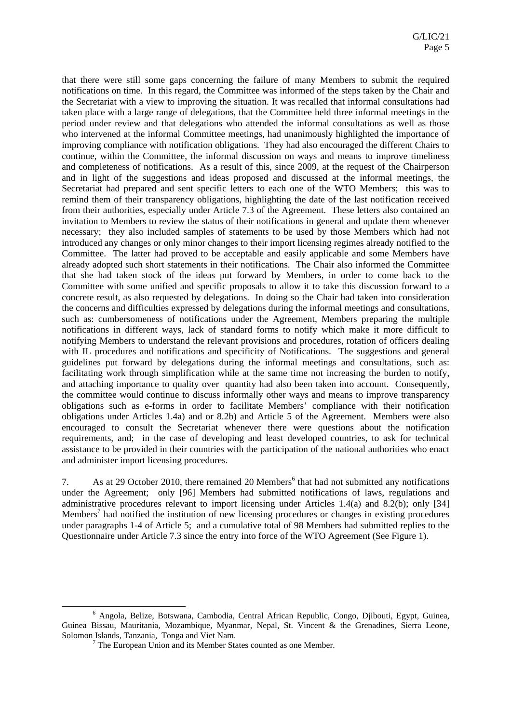that there were still some gaps concerning the failure of many Members to submit the required notifications on time. In this regard, the Committee was informed of the steps taken by the Chair and the Secretariat with a view to improving the situation. It was recalled that informal consultations had taken place with a large range of delegations, that the Committee held three informal meetings in the period under review and that delegations who attended the informal consultations as well as those who intervened at the informal Committee meetings, had unanimously highlighted the importance of improving compliance with notification obligations. They had also encouraged the different Chairs to continue, within the Committee, the informal discussion on ways and means to improve timeliness and completeness of notifications. As a result of this, since 2009, at the request of the Chairperson and in light of the suggestions and ideas proposed and discussed at the informal meetings, the Secretariat had prepared and sent specific letters to each one of the WTO Members; this was to remind them of their transparency obligations, highlighting the date of the last notification received from their authorities, especially under Article 7.3 of the Agreement. These letters also contained an invitation to Members to review the status of their notifications in general and update them whenever necessary; they also included samples of statements to be used by those Members which had not introduced any changes or only minor changes to their import licensing regimes already notified to the Committee. The latter had proved to be acceptable and easily applicable and some Members have already adopted such short statements in their notifications. The Chair also informed the Committee that she had taken stock of the ideas put forward by Members, in order to come back to the Committee with some unified and specific proposals to allow it to take this discussion forward to a concrete result, as also requested by delegations. In doing so the Chair had taken into consideration the concerns and difficulties expressed by delegations during the informal meetings and consultations, such as: cumbersomeness of notifications under the Agreement, Members preparing the multiple notifications in different ways, lack of standard forms to notify which make it more difficult to notifying Members to understand the relevant provisions and procedures, rotation of officers dealing with IL procedures and notifications and specificity of Notifications. The suggestions and general guidelines put forward by delegations during the informal meetings and consultations, such as: facilitating work through simplification while at the same time not increasing the burden to notify, and attaching importance to quality over quantity had also been taken into account. Consequently, the committee would continue to discuss informally other ways and means to improve transparency obligations such as e-forms in order to facilitate Members' compliance with their notification obligations under Articles 1.4a) and or 8.2b) and Article 5 of the Agreement. Members were also encouraged to consult the Secretariat whenever there were questions about the notification requirements, and; in the case of developing and least developed countries, to ask for technical assistance to be provided in their countries with the participation of the national authorities who enact and administer import licensing procedures.

7. As at 29 October 2010, there remained 20 Members<sup>6</sup> that had not submitted any notifications under the Agreement; only [96] Members had submitted notifications of laws, regulations and administrative procedures relevant to import licensing under Articles 1.4(a) and 8.2(b); only [34] Members<sup>7</sup> had notified the institution of new licensing procedures or changes in existing procedures under paragraphs 1-4 of Article 5; and a cumulative total of 98 Members had submitted replies to the Questionnaire under Article 7.3 since the entry into force of the WTO Agreement (See Figure 1).

 <sup>6</sup> Angola, Belize, Botswana, Cambodia, Central African Republic, Congo, Djibouti, Egypt, Guinea, Guinea Bissau, Mauritania, Mozambique, Myanmar, Nepal, St. Vincent & the Grenadines, Sierra Leone, Solomon Islands, Tanzania, Tonga and Viet Nam.

<sup>&</sup>lt;sup>7</sup> The European Union and its Member States counted as one Member.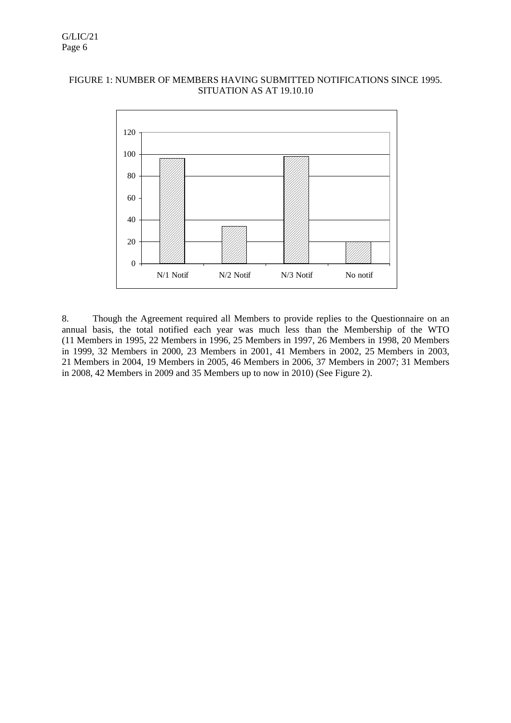# FIGURE 1: NUMBER OF MEMBERS HAVING SUBMITTED NOTIFICATIONS SINCE 1995. SITUATION AS AT 19.10.10



8. Though the Agreement required all Members to provide replies to the Questionnaire on an annual basis, the total notified each year was much less than the Membership of the WTO (11 Members in 1995, 22 Members in 1996, 25 Members in 1997, 26 Members in 1998, 20 Members in 1999, 32 Members in 2000, 23 Members in 2001, 41 Members in 2002, 25 Members in 2003, 21 Members in 2004, 19 Members in 2005, 46 Members in 2006, 37 Members in 2007; 31 Members in 2008, 42 Members in 2009 and 35 Members up to now in 2010) (See Figure 2).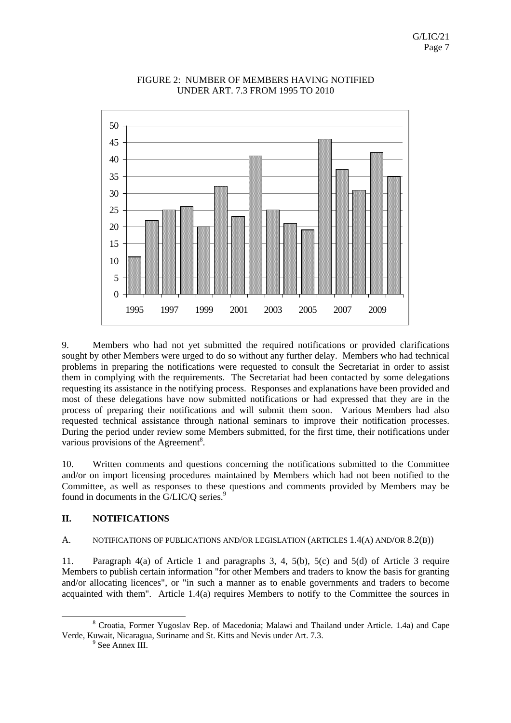

## FIGURE 2: NUMBER OF MEMBERS HAVING NOTIFIED UNDER ART. 7.3 FROM 1995 TO 2010

9. Members who had not yet submitted the required notifications or provided clarifications sought by other Members were urged to do so without any further delay. Members who had technical problems in preparing the notifications were requested to consult the Secretariat in order to assist them in complying with the requirements. The Secretariat had been contacted by some delegations requesting its assistance in the notifying process. Responses and explanations have been provided and most of these delegations have now submitted notifications or had expressed that they are in the process of preparing their notifications and will submit them soon. Various Members had also requested technical assistance through national seminars to improve their notification processes. During the period under review some Members submitted, for the first time, their notifications under various provisions of the Agreement<sup>8</sup>.

10. Written comments and questions concerning the notifications submitted to the Committee and/or on import licensing procedures maintained by Members which had not been notified to the Committee, as well as responses to these questions and comments provided by Members may be found in documents in the G/LIC/O series.<sup>9</sup>

# **II. NOTIFICATIONS**

# A. NOTIFICATIONS OF PUBLICATIONS AND/OR LEGISLATION (ARTICLES 1.4(A) AND/OR 8.2(B))

11. Paragraph 4(a) of Article 1 and paragraphs 3, 4, 5(b), 5(c) and 5(d) of Article 3 require Members to publish certain information "for other Members and traders to know the basis for granting and/or allocating licences", or "in such a manner as to enable governments and traders to become acquainted with them". Article 1.4(a) requires Members to notify to the Committee the sources in

 <sup>8</sup> Croatia, Former Yugoslav Rep. of Macedonia; Malawi and Thailand under Article. 1.4a) and Cape Verde, Kuwait, Nicaragua, Suriname and St. Kitts and Nevis under Art. 7.3. 9

 $9$  See Annex III.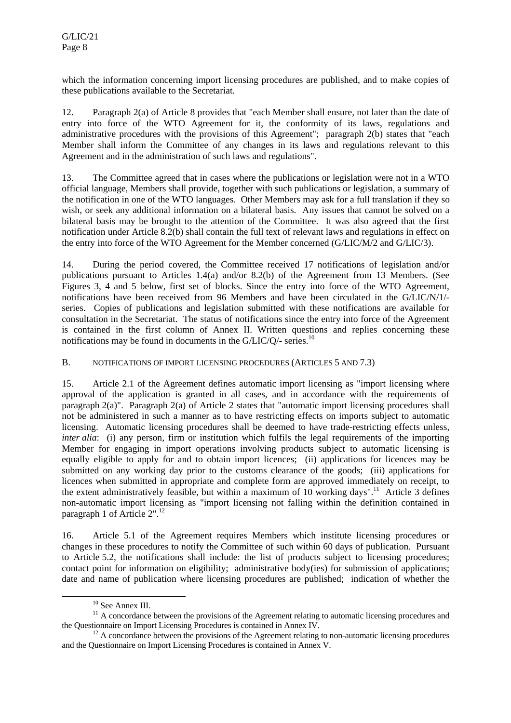which the information concerning import licensing procedures are published, and to make copies of these publications available to the Secretariat.

12. Paragraph 2(a) of Article 8 provides that "each Member shall ensure, not later than the date of entry into force of the WTO Agreement for it, the conformity of its laws, regulations and administrative procedures with the provisions of this Agreement"; paragraph 2(b) states that "each Member shall inform the Committee of any changes in its laws and regulations relevant to this Agreement and in the administration of such laws and regulations".

13. The Committee agreed that in cases where the publications or legislation were not in a WTO official language, Members shall provide, together with such publications or legislation, a summary of the notification in one of the WTO languages. Other Members may ask for a full translation if they so wish, or seek any additional information on a bilateral basis. Any issues that cannot be solved on a bilateral basis may be brought to the attention of the Committee. It was also agreed that the first notification under Article 8.2(b) shall contain the full text of relevant laws and regulations in effect on the entry into force of the WTO Agreement for the Member concerned (G/LIC/M/2 and G/LIC/3).

14. During the period covered, the Committee received 17 notifications of legislation and/or publications pursuant to Articles 1.4(a) and/or 8.2(b) of the Agreement from 13 Members. (See Figures 3, 4 and 5 below, first set of blocks. Since the entry into force of the WTO Agreement, notifications have been received from 96 Members and have been circulated in the G/LIC/N/1/ series. Copies of publications and legislation submitted with these notifications are available for consultation in the Secretariat. The status of notifications since the entry into force of the Agreement is contained in the first column of Annex II. Written questions and replies concerning these notifications may be found in documents in the  $G/LIC/O$  - series.<sup>10</sup>

B. NOTIFICATIONS OF IMPORT LICENSING PROCEDURES (ARTICLES 5 AND 7.3)

15. Article 2.1 of the Agreement defines automatic import licensing as "import licensing where approval of the application is granted in all cases, and in accordance with the requirements of paragraph 2(a)". Paragraph 2(a) of Article 2 states that "automatic import licensing procedures shall not be administered in such a manner as to have restricting effects on imports subject to automatic licensing. Automatic licensing procedures shall be deemed to have trade-restricting effects unless, *inter alia*: (i) any person, firm or institution which fulfils the legal requirements of the importing Member for engaging in import operations involving products subject to automatic licensing is equally eligible to apply for and to obtain import licences; (ii) applications for licences may be submitted on any working day prior to the customs clearance of the goods; (iii) applications for licences when submitted in appropriate and complete form are approved immediately on receipt, to the extent administratively feasible, but within a maximum of  $10$  working days".<sup>11</sup> Article 3 defines non-automatic import licensing as "import licensing not falling within the definition contained in paragraph 1 of Article 2".<sup>12</sup>

16. Article 5.1 of the Agreement requires Members which institute licensing procedures or changes in these procedures to notify the Committee of such within 60 days of publication. Pursuant to Article 5.2, the notifications shall include: the list of products subject to licensing procedures; contact point for information on eligibility; administrative body(ies) for submission of applications; date and name of publication where licensing procedures are published; indication of whether the

<sup>&</sup>lt;sup>10</sup> See Annex III.

 $11$  A concordance between the provisions of the Agreement relating to automatic licensing procedures and the Ouestionnaire on Import Licensing Procedures is contained in Annex IV.

 $12$  A concordance between the provisions of the Agreement relating to non-automatic licensing procedures and the Questionnaire on Import Licensing Procedures is contained in Annex V.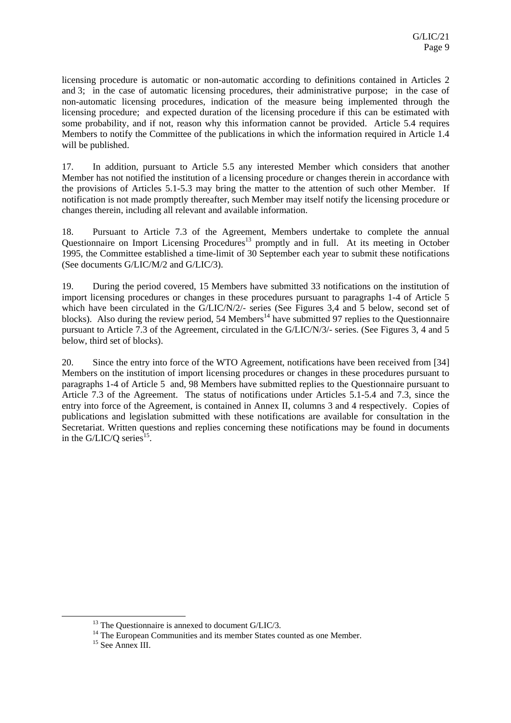licensing procedure is automatic or non-automatic according to definitions contained in Articles 2 and 3; in the case of automatic licensing procedures, their administrative purpose; in the case of non-automatic licensing procedures, indication of the measure being implemented through the licensing procedure; and expected duration of the licensing procedure if this can be estimated with some probability, and if not, reason why this information cannot be provided. Article 5.4 requires Members to notify the Committee of the publications in which the information required in Article 1.4 will be published.

17. In addition, pursuant to Article 5.5 any interested Member which considers that another Member has not notified the institution of a licensing procedure or changes therein in accordance with the provisions of Articles 5.1-5.3 may bring the matter to the attention of such other Member. If notification is not made promptly thereafter, such Member may itself notify the licensing procedure or changes therein, including all relevant and available information.

18. Pursuant to Article 7.3 of the Agreement, Members undertake to complete the annual Questionnaire on Import Licensing Procedures<sup>13</sup> promptly and in full. At its meeting in October 1995, the Committee established a time-limit of 30 September each year to submit these notifications (See documents G/LIC/M/2 and G/LIC/3).

19. During the period covered, 15 Members have submitted 33 notifications on the institution of import licensing procedures or changes in these procedures pursuant to paragraphs 1-4 of Article 5 which have been circulated in the G/LIC/N/2/- series (See Figures 3.4 and 5 below, second set of blocks). Also during the review period, 54 Members<sup>14</sup> have submitted 97 replies to the Questionnaire pursuant to Article 7.3 of the Agreement, circulated in the G/LIC/N/3/- series. (See Figures 3, 4 and 5 below, third set of blocks).

20. Since the entry into force of the WTO Agreement, notifications have been received from [34] Members on the institution of import licensing procedures or changes in these procedures pursuant to paragraphs 1-4 of Article 5 and, 98 Members have submitted replies to the Questionnaire pursuant to Article 7.3 of the Agreement. The status of notifications under Articles 5.1-5.4 and 7.3, since the entry into force of the Agreement, is contained in Annex II, columns 3 and 4 respectively. Copies of publications and legislation submitted with these notifications are available for consultation in the Secretariat. Written questions and replies concerning these notifications may be found in documents in the G/LIC/Q series<sup>15</sup>.

<sup>&</sup>lt;sup>13</sup> The Questionnaire is annexed to document G/LIC/3.

<sup>&</sup>lt;sup>14</sup> The European Communities and its member States counted as one Member.

<sup>&</sup>lt;sup>15</sup> See Annex III.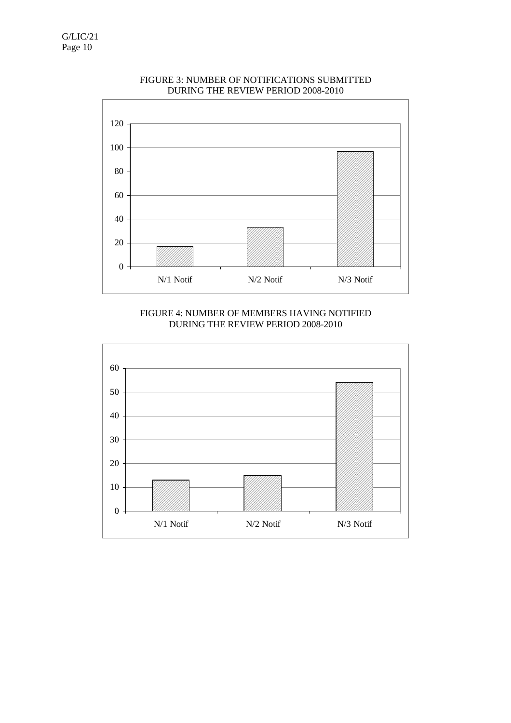

# FIGURE 3: NUMBER OF NOTIFICATIONS SUBMITTED DURING THE REVIEW PERIOD 2008-2010



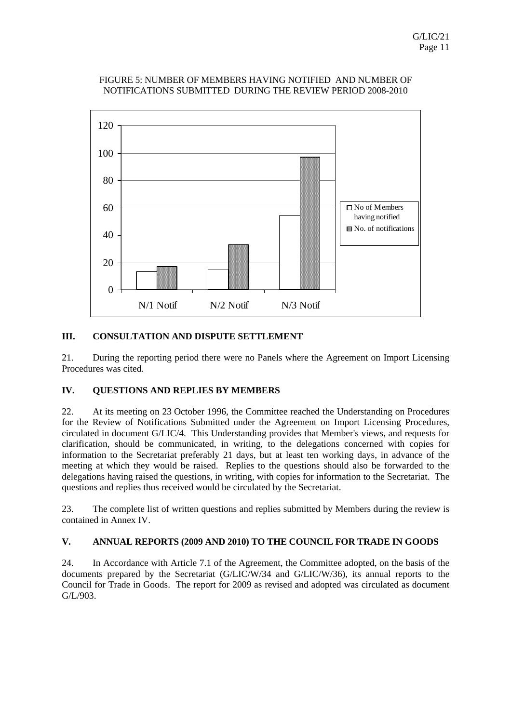

## FIGURE 5: NUMBER OF MEMBERS HAVING NOTIFIED AND NUMBER OF NOTIFICATIONS SUBMITTED DURING THE REVIEW PERIOD 2008-2010

# **III. CONSULTATION AND DISPUTE SETTLEMENT**

21. During the reporting period there were no Panels where the Agreement on Import Licensing Procedures was cited.

# **IV. QUESTIONS AND REPLIES BY MEMBERS**

22. At its meeting on 23 October 1996, the Committee reached the Understanding on Procedures for the Review of Notifications Submitted under the Agreement on Import Licensing Procedures, circulated in document G/LIC/4. This Understanding provides that Member's views, and requests for clarification, should be communicated, in writing, to the delegations concerned with copies for information to the Secretariat preferably 21 days, but at least ten working days, in advance of the meeting at which they would be raised. Replies to the questions should also be forwarded to the delegations having raised the questions, in writing, with copies for information to the Secretariat. The questions and replies thus received would be circulated by the Secretariat.

23. The complete list of written questions and replies submitted by Members during the review is contained in Annex IV.

# **V. ANNUAL REPORTS (2009 AND 2010) TO THE COUNCIL FOR TRADE IN GOODS**

24. In Accordance with Article 7.1 of the Agreement, the Committee adopted, on the basis of the documents prepared by the Secretariat (G/LIC/W/34 and G/LIC/W/36), its annual reports to the Council for Trade in Goods. The report for 2009 as revised and adopted was circulated as document G/L/903.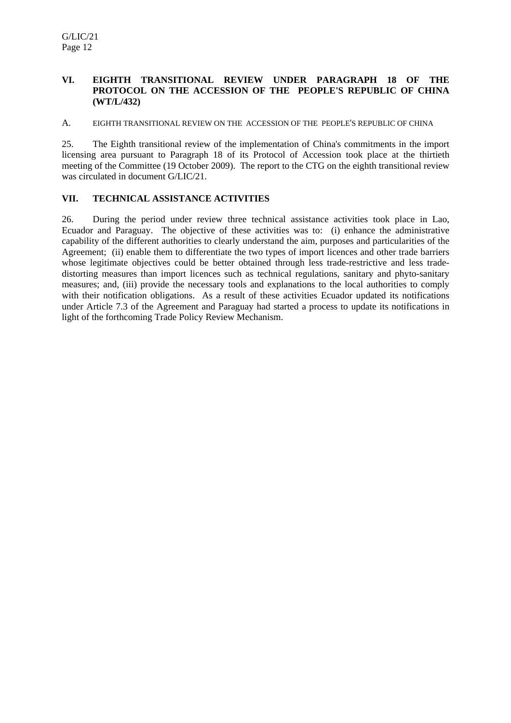# **VI. EIGHTH TRANSITIONAL REVIEW UNDER PARAGRAPH 18 OF THE PROTOCOL ON THE ACCESSION OF THE PEOPLE'S REPUBLIC OF CHINA (WT/L/432)**

A. EIGHTH TRANSITIONAL REVIEW ON THE ACCESSION OF THE PEOPLE'S REPUBLIC OF CHINA

25. The Eighth transitional review of the implementation of China's commitments in the import licensing area pursuant to Paragraph 18 of its Protocol of Accession took place at the thirtieth meeting of the Committee (19 October 2009). The report to the CTG on the eighth transitional review was circulated in document G/LIC/21.

# **VII. TECHNICAL ASSISTANCE ACTIVITIES**

26. During the period under review three technical assistance activities took place in Lao, Ecuador and Paraguay. The objective of these activities was to: (i) enhance the administrative capability of the different authorities to clearly understand the aim, purposes and particularities of the Agreement; (ii) enable them to differentiate the two types of import licences and other trade barriers whose legitimate objectives could be better obtained through less trade-restrictive and less tradedistorting measures than import licences such as technical regulations, sanitary and phyto-sanitary measures; and, (iii) provide the necessary tools and explanations to the local authorities to comply with their notification obligations. As a result of these activities Ecuador updated its notifications under Article 7.3 of the Agreement and Paraguay had started a process to update its notifications in light of the forthcoming Trade Policy Review Mechanism.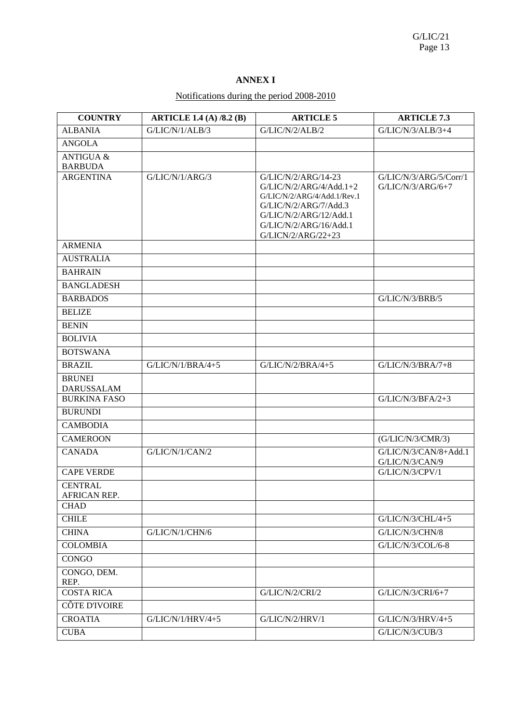# **ANNEX I**

# Notifications during the period 2008-2010

| <b>COUNTRY</b>                                | <b>ARTICLE 1.4 (A) /8.2 (B)</b> | <b>ARTICLE 5</b>                                                                                                                                                                   | <b>ARTICLE 7.3</b>                            |
|-----------------------------------------------|---------------------------------|------------------------------------------------------------------------------------------------------------------------------------------------------------------------------------|-----------------------------------------------|
| <b>ALBANIA</b>                                | G/LIC/N/1/ALB/3                 | G/LIC/N/2/ALB/2                                                                                                                                                                    | $G/LIC/N/3/ALB/3+4$                           |
| <b>ANGOLA</b>                                 |                                 |                                                                                                                                                                                    |                                               |
| <b>ANTIGUA &amp;</b>                          |                                 |                                                                                                                                                                                    |                                               |
| <b>BARBUDA</b>                                |                                 |                                                                                                                                                                                    |                                               |
| <b>ARGENTINA</b>                              | G/LIC/N/1/ARG/3                 | G/LIC/N/2/ARG/14-23<br>$G/LIC/N/2/ARG/4/Add.1+2$<br>G/LIC/N/2/ARG/4/Add.1/Rev.1<br>G/LIC/N/2/ARG/7/Add.3<br>G/LIC/N/2/ARG/12/Add.1<br>G/LIC/N/2/ARG/16/Add.1<br>G/LICN/2/ARG/22+23 | G/LIC/N/3/ARG/5/Corr/1<br>$G/LIC/N/3/ARG/6+7$ |
| <b>ARMENIA</b>                                |                                 |                                                                                                                                                                                    |                                               |
| <b>AUSTRALIA</b>                              |                                 |                                                                                                                                                                                    |                                               |
| <b>BAHRAIN</b>                                |                                 |                                                                                                                                                                                    |                                               |
| <b>BANGLADESH</b>                             |                                 |                                                                                                                                                                                    |                                               |
| <b>BARBADOS</b>                               |                                 |                                                                                                                                                                                    | $\overline{G}/LIC/N/3/BRB/5$                  |
| <b>BELIZE</b>                                 |                                 |                                                                                                                                                                                    |                                               |
| <b>BENIN</b>                                  |                                 |                                                                                                                                                                                    |                                               |
| <b>BOLIVIA</b>                                |                                 |                                                                                                                                                                                    |                                               |
| <b>BOTSWANA</b>                               |                                 |                                                                                                                                                                                    |                                               |
| <b>BRAZIL</b>                                 | $G/LIC/N/1/BRA/4+5$             | $G/LIC/N/2/BRA/4+5$                                                                                                                                                                | $G/LIC/N/3/BRA/7+8$                           |
| <b>BRUNEI</b><br><b>DARUSSALAM</b>            |                                 |                                                                                                                                                                                    |                                               |
| <b>BURKINA FASO</b>                           |                                 |                                                                                                                                                                                    | $G/LIC/N/3/BFA/2+3$                           |
| <b>BURUNDI</b>                                |                                 |                                                                                                                                                                                    |                                               |
| <b>CAMBODIA</b>                               |                                 |                                                                                                                                                                                    |                                               |
| <b>CAMEROON</b>                               |                                 |                                                                                                                                                                                    | (G/LIC/N/3/CMR/3)                             |
| <b>CANADA</b>                                 | G/LIC/N/1/CAN/2                 |                                                                                                                                                                                    | G/LIC/N/3/CAN/8+Add.1<br>G/LIC/N/3/CAN/9      |
| <b>CAPE VERDE</b>                             |                                 |                                                                                                                                                                                    | G/LIC/N/3/CPV/1                               |
| <b>CENTRAL</b><br>AFRICAN REP.<br><b>CHAD</b> |                                 |                                                                                                                                                                                    |                                               |
| <b>CHILE</b>                                  |                                 |                                                                                                                                                                                    | G/LIC/N/3/CHL/4+5                             |
| <b>CHINA</b>                                  | G/LIC/N/1/CHN/6                 |                                                                                                                                                                                    | G/LIC/N/3/CHN/8                               |
| <b>COLOMBIA</b>                               |                                 |                                                                                                                                                                                    | G/LIC/N/3/COL/6-8                             |
| <b>CONGO</b>                                  |                                 |                                                                                                                                                                                    |                                               |
| CONGO, DEM.                                   |                                 |                                                                                                                                                                                    |                                               |
| REP.<br><b>COSTA RICA</b>                     |                                 | G/LIC/N/2/CRI/2                                                                                                                                                                    | G/LIC/N/3/CRI/6+7                             |
| CÔTE D'IVOIRE                                 |                                 |                                                                                                                                                                                    |                                               |
| <b>CROATIA</b>                                | G/LIC/N/1/HRV/4+5               | G/LIC/N/2/HRV/1                                                                                                                                                                    | G/LIC/N/3/HRV/4+5                             |
| <b>CUBA</b>                                   |                                 |                                                                                                                                                                                    | G/LIC/N/3/CUB/3                               |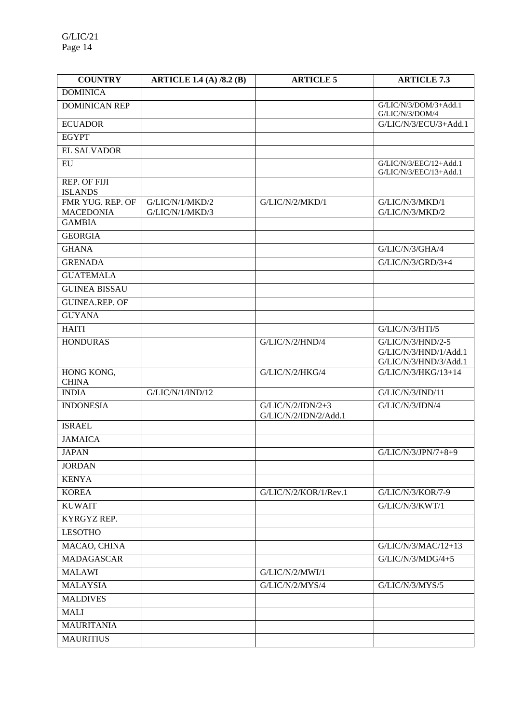| <b>COUNTRY</b>                    | <b>ARTICLE 1.4 (A) /8.2 (B)</b> | <b>ARTICLE 5</b>                             | <b>ARTICLE 7.3</b>                                                    |
|-----------------------------------|---------------------------------|----------------------------------------------|-----------------------------------------------------------------------|
| <b>DOMINICA</b>                   |                                 |                                              |                                                                       |
| <b>DOMINICAN REP</b>              |                                 |                                              | G/LIC/N/3/DOM/3+Add.1<br>G/LIC/N/3/DOM/4                              |
| <b>ECUADOR</b>                    |                                 |                                              | G/LIC/N/3/ECU/3+Add.1                                                 |
| <b>EGYPT</b>                      |                                 |                                              |                                                                       |
| <b>EL SALVADOR</b>                |                                 |                                              |                                                                       |
| EU                                |                                 |                                              | G/LIC/N/3/EEC/12+Add.1<br>G/LIC/N/3/EEC/13+Add.1                      |
| REP. OF FIJI<br><b>ISLANDS</b>    |                                 |                                              |                                                                       |
| FMR YUG. REP. OF                  | G/LIC/N/1/MKD/2                 | G/LIC/N/2/MKD/1                              | G/LIC/N/3/MKD/1                                                       |
| <b>MACEDONIA</b><br><b>GAMBIA</b> | G/LIC/N/1/MKD/3                 |                                              | G/LIC/N/3/MKD/2                                                       |
| <b>GEORGIA</b>                    |                                 |                                              |                                                                       |
| <b>GHANA</b>                      |                                 |                                              | G/LIC/N/3/GHA/4                                                       |
| <b>GRENADA</b>                    |                                 |                                              | G/LIC/N/3/GRD/3+4                                                     |
| <b>GUATEMALA</b>                  |                                 |                                              |                                                                       |
| <b>GUINEA BISSAU</b>              |                                 |                                              |                                                                       |
| <b>GUINEA.REP. OF</b>             |                                 |                                              |                                                                       |
| <b>GUYANA</b>                     |                                 |                                              |                                                                       |
|                                   |                                 |                                              |                                                                       |
| <b>HAITI</b>                      |                                 |                                              | G/LIC/N/3/HTI/5                                                       |
| <b>HONDURAS</b>                   |                                 | G/LIC/N/2/HND/4                              | $G/LIC/N/3/HND/2-5$<br>G/LIC/N/3/HND/1/Add.1<br>G/LIC/N/3/HND/3/Add.1 |
| HONG KONG,<br><b>CHINA</b>        |                                 | G/LIC/N/2/HKG/4                              | G/LIC/N/3/HKG/13+14                                                   |
| <b>INDIA</b>                      | G/LIC/N/1/IND/12                |                                              | G/LIC/N/3/IND/11                                                      |
| <b>INDONESIA</b>                  |                                 | $G/LIC/N/2/IDN/2+3$<br>G/LIC/N/2/IDN/2/Add.1 | G/LIC/N/3/IDN/4                                                       |
| <b>ISRAEL</b>                     |                                 |                                              |                                                                       |
| <b>JAMAICA</b>                    |                                 |                                              |                                                                       |
| <b>JAPAN</b>                      |                                 |                                              | G/LIC/N/3/JPN/7+8+9                                                   |
| <b>JORDAN</b>                     |                                 |                                              |                                                                       |
| <b>KENYA</b>                      |                                 |                                              |                                                                       |
| <b>KOREA</b>                      |                                 | G/LIC/N/2/KOR/1/Rev.1                        | G/LIC/N/3/KOR/7-9                                                     |
| <b>KUWAIT</b>                     |                                 |                                              | G/LIC/N/3/KWT/1                                                       |
| KYRGYZ REP.                       |                                 |                                              |                                                                       |
| <b>LESOTHO</b>                    |                                 |                                              |                                                                       |
| MACAO, CHINA                      |                                 |                                              | G/LIC/N/3/MAC/12+13                                                   |
| <b>MADAGASCAR</b>                 |                                 |                                              | $G/LIC/N/3/MDG/4+5$                                                   |
| <b>MALAWI</b>                     |                                 | G/LIC/N/2/MWI/1                              |                                                                       |
| <b>MALAYSIA</b>                   |                                 | G/LIC/N/2/MYS/4                              | G/LIC/N/3/MYS/5                                                       |
| <b>MALDIVES</b>                   |                                 |                                              |                                                                       |
| <b>MALI</b>                       |                                 |                                              |                                                                       |
| <b>MAURITANIA</b>                 |                                 |                                              |                                                                       |
| <b>MAURITIUS</b>                  |                                 |                                              |                                                                       |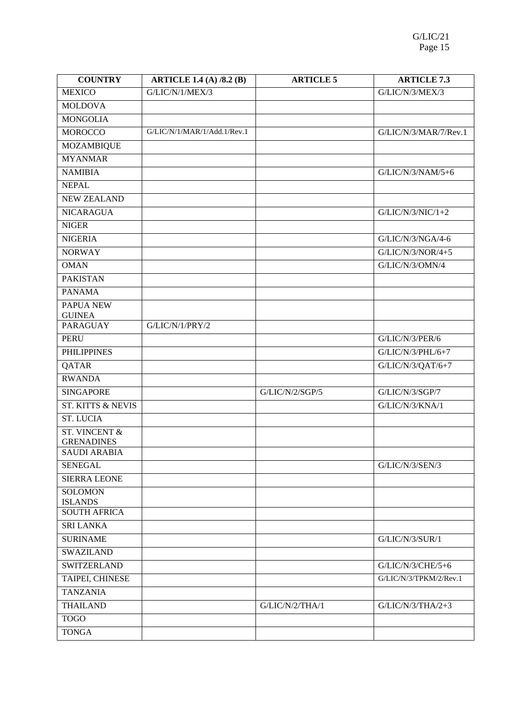| <b>COUNTRY</b>                   | <b>ARTICLE 1.4 (A) /8.2 (B)</b> | <b>ARTICLE 5</b> | <b>ARTICLE 7.3</b>     |
|----------------------------------|---------------------------------|------------------|------------------------|
| <b>MEXICO</b>                    | G/LIC/N/1/MEX/3                 |                  | G/LIC/N/3/MEX/3        |
| <b>MOLDOVA</b>                   |                                 |                  |                        |
| <b>MONGOLIA</b>                  |                                 |                  |                        |
| <b>MOROCCO</b>                   | G/LIC/N/1/MAR/1/Add.1/Rev.1     |                  | G/LIC/N/3/MAR/7/Rev.1  |
| <b>MOZAMBIQUE</b>                |                                 |                  |                        |
| <b>MYANMAR</b>                   |                                 |                  |                        |
| <b>NAMIBIA</b>                   |                                 |                  | $G/LIC/N/3/NAM/5+6$    |
| <b>NEPAL</b>                     |                                 |                  |                        |
| <b>NEW ZEALAND</b>               |                                 |                  |                        |
| <b>NICARAGUA</b>                 |                                 |                  | $G/LIC/N/3/NIC/1+2$    |
| <b>NIGER</b>                     |                                 |                  |                        |
| <b>NIGERIA</b>                   |                                 |                  | G/LIC/N/3/NGA/4-6      |
| <b>NORWAY</b>                    |                                 |                  | $G/LIC/N/3/NOR/4+5$    |
| <b>OMAN</b>                      |                                 |                  | G/LIC/N/3/OMN/4        |
| <b>PAKISTAN</b>                  |                                 |                  |                        |
| <b>PANAMA</b>                    |                                 |                  |                        |
| PAPUA NEW<br><b>GUINEA</b>       |                                 |                  |                        |
| <b>PARAGUAY</b>                  | G/LIC/N/1/PRY/2                 |                  |                        |
| <b>PERU</b>                      |                                 |                  | G/LIC/N/3/PER/6        |
| <b>PHILIPPINES</b>               |                                 |                  | G/LIC/N/3/PHL/6+7      |
| QATAR                            |                                 |                  | G/LIC/N/3/QAT/6+7      |
| <b>RWANDA</b>                    |                                 |                  |                        |
| <b>SINGAPORE</b>                 |                                 | G/LIC/N/2/SGP/5  | G/LIC/N/3/SGP/7        |
| <b>ST. KITTS &amp; NEVIS</b>     |                                 |                  | G/LIC/N/3/KNA/1        |
| <b>ST. LUCIA</b>                 |                                 |                  |                        |
| ST. VINCENT &                    |                                 |                  |                        |
| <b>GRENADINES</b>                |                                 |                  |                        |
| <b>SAUDI ARABIA</b>              |                                 |                  |                        |
| <b>SENEGAL</b>                   |                                 |                  | G/LIC/N/3/SEN/3        |
| <b>SIERRA LEONE</b>              |                                 |                  |                        |
| <b>SOLOMON</b><br><b>ISLANDS</b> |                                 |                  |                        |
| <b>SOUTH AFRICA</b>              |                                 |                  |                        |
| <b>SRI LANKA</b>                 |                                 |                  |                        |
| <b>SURINAME</b>                  |                                 |                  | G/LIC/N/3/SUR/1        |
| <b>SWAZILAND</b>                 |                                 |                  |                        |
| <b>SWITZERLAND</b>               |                                 |                  | G/LIC/N/3/CHE/5+6      |
| TAIPEI, CHINESE                  |                                 |                  | G/LIC/N/3/TPKM/2/Rev.1 |
| <b>TANZANIA</b>                  |                                 |                  |                        |
| <b>THAILAND</b>                  |                                 | G/LIC/N/2/THA/1  | $G/LIC/N/3/THA/2+3$    |
| <b>TOGO</b>                      |                                 |                  |                        |
| <b>TONGA</b>                     |                                 |                  |                        |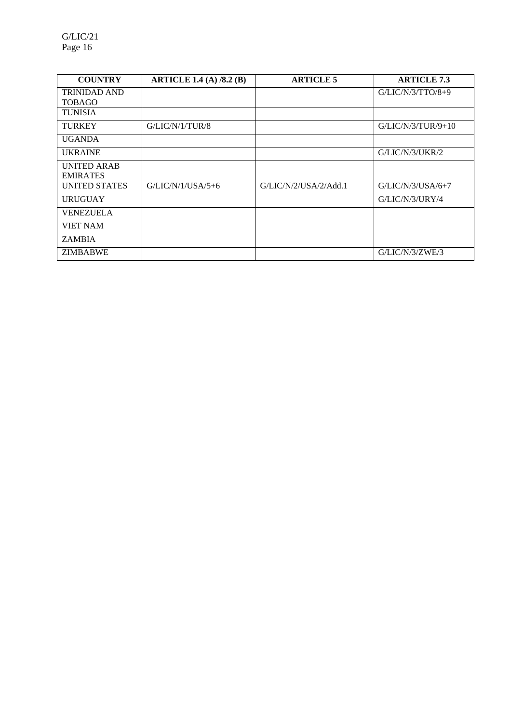| <b>COUNTRY</b>       | <b>ARTICLE 1.4 (A) /8.2 (B)</b> | <b>ARTICLE 5</b>      | <b>ARTICLE 7.3</b>   |
|----------------------|---------------------------------|-----------------------|----------------------|
| <b>TRINIDAD AND</b>  |                                 |                       | $G/LIC/N/3/TTO/8+9$  |
| <b>TOBAGO</b>        |                                 |                       |                      |
| <b>TUNISIA</b>       |                                 |                       |                      |
| <b>TURKEY</b>        | G/LIC/N/1/TUR/8                 |                       | $G/LIC/N/3/TUR/9+10$ |
| <b>UGANDA</b>        |                                 |                       |                      |
| <b>UKRAINE</b>       |                                 |                       | G/LIC/N/3/UKR/2      |
| <b>UNITED ARAB</b>   |                                 |                       |                      |
| <b>EMIRATES</b>      |                                 |                       |                      |
| <b>UNITED STATES</b> | $G/LIC/N/1/USA/5+6$             | G/LIC/N/2/USA/2/Add.1 | $G/LIC/N/3/USA/6+7$  |
| <b>URUGUAY</b>       |                                 |                       | G/LIC/N/3/URY/4      |
| <b>VENEZUELA</b>     |                                 |                       |                      |
| <b>VIET NAM</b>      |                                 |                       |                      |
| <b>ZAMBIA</b>        |                                 |                       |                      |
| <b>ZIMBABWE</b>      |                                 |                       | G/LIC/N/3/ZWE/3      |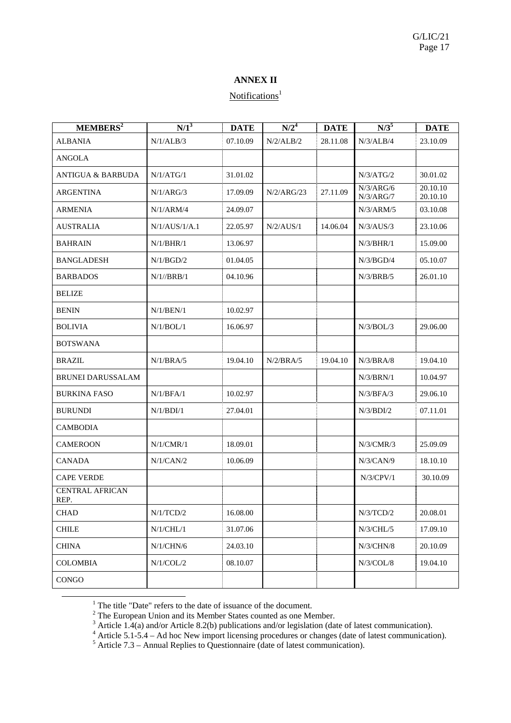# **ANNEX II**

# Notifications<sup>1</sup>

| MEMBERS <sup>2</sup>           | $N/1^3$        | <b>DATE</b> | N/2 <sup>4</sup> | <b>DATE</b> | $N/3^5$                | <b>DATE</b>          |
|--------------------------------|----------------|-------------|------------------|-------------|------------------------|----------------------|
| <b>ALBANIA</b>                 | N/1/ALB/3      | 07.10.09    | N/2/ALB/2        | 28.11.08    | N/3/ALB/4              | 23.10.09             |
| ANGOLA                         |                |             |                  |             |                        |                      |
| <b>ANTIGUA &amp; BARBUDA</b>   | N/1/ATG/1      | 31.01.02    |                  |             | N/3/ATG/2              | 30.01.02             |
| <b>ARGENTINA</b>               | N/1/ARG/3      | 17.09.09    | N/2/ARG/23       | 27.11.09    | N/3/ARG/6<br>N/3/ARG/7 | 20.10.10<br>20.10.10 |
| <b>ARMENIA</b>                 | N/1/ARM/4      | 24.09.07    |                  |             | N/3/ARM/5              | 03.10.08             |
| <b>AUSTRALIA</b>               | N/1/ALJS/1/A.1 | 22.05.97    | N/2/ALUS/1       | 14.06.04    | N/3/ALUS/3             | 23.10.06             |
| <b>BAHRAIN</b>                 | N/1/BHR/1      | 13.06.97    |                  |             | N/3/BHR/1              | 15.09.00             |
| <b>BANGLADESH</b>              | N/1/BGD/2      | 01.04.05    |                  |             | N/3/BGD/4              | 05.10.07             |
| <b>BARBADOS</b>                | N/1//BRB/1     | 04.10.96    |                  |             | N/3/BRB/5              | 26.01.10             |
| <b>BELIZE</b>                  |                |             |                  |             |                        |                      |
| <b>BENIN</b>                   | N/1/BEN/1      | 10.02.97    |                  |             |                        |                      |
| <b>BOLIVIA</b>                 | N/1/BOL/1      | 16.06.97    |                  |             | N/3/BOL/3              | 29.06.00             |
| <b>BOTSWANA</b>                |                |             |                  |             |                        |                      |
| <b>BRAZIL</b>                  | N/1/BRA/5      | 19.04.10    | N/2/BRA/5        | 19.04.10    | N/3/BRA/8              | 19.04.10             |
| <b>BRUNEI DARUSSALAM</b>       |                |             |                  |             | N/3/BRN/1              | 10.04.97             |
| <b>BURKINA FASO</b>            | N/1/BFA/1      | 10.02.97    |                  |             | N/3/BFA/3              | 29.06.10             |
| <b>BURUNDI</b>                 | N/1/BDI/1      | 27.04.01    |                  |             | N/3/BDI/2              | 07.11.01             |
| <b>CAMBODIA</b>                |                |             |                  |             |                        |                      |
| <b>CAMEROON</b>                | N/1/CMR/1      | 18.09.01    |                  |             | N/3/CMR/3              | 25.09.09             |
| <b>CANADA</b>                  | N/1/CAN/2      | 10.06.09    |                  |             | N/3/CAN/9              | 18.10.10             |
| <b>CAPE VERDE</b>              |                |             |                  |             | $N/3$ /CPV/1           | 30.10.09             |
| <b>CENTRAL AFRICAN</b><br>REP. |                |             |                  |             |                        |                      |
| <b>CHAD</b>                    | N/1/TCD/2      | 16.08.00    |                  |             | N/3/TCD/2              | 20.08.01             |
| <b>CHILE</b>                   | N/1/CHL/1      | 31.07.06    |                  |             | $N/3$ /CHL/5           | 17.09.10             |
| <b>CHINA</b>                   | N/1/CHN/6      | 24.03.10    |                  |             | $N/3$ /CHN/8           | 20.10.09             |
| <b>COLOMBIA</b>                | N/1/COL/2      | 08.10.07    |                  |             | $N/3$ /COL/8           | 19.04.10             |
| CONGO                          |                |             |                  |             |                        |                      |

<u>1</u>

<sup>1</sup> The title "Date" refers to the date of issuance of the document.<br>
<sup>2</sup> The European Union and its Member States counted as one Member.<br>
<sup>3</sup> Article 1.4(a) and/or Article 8.2(b) publications and/or legislation (date of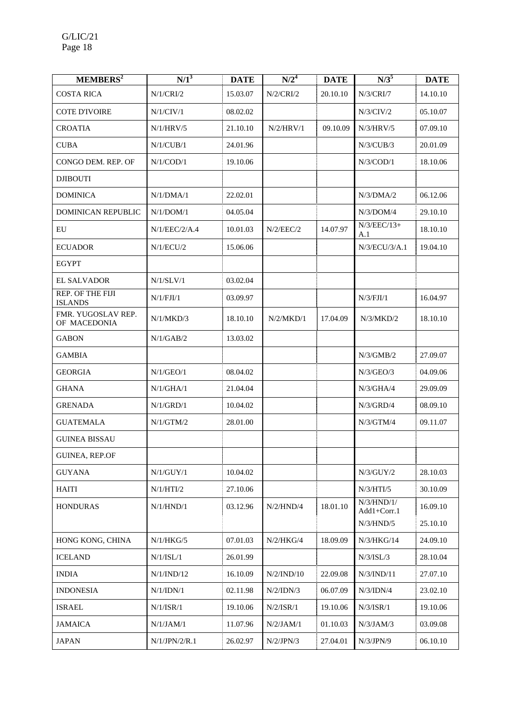| MEMBERS <sup>2</sup>               | $\overline{N/1}^3$ | <b>DATE</b> | N/2 <sup>4</sup> | <b>DATE</b> | $N/3^5$                   | <b>DATE</b> |
|------------------------------------|--------------------|-------------|------------------|-------------|---------------------------|-------------|
| <b>COSTA RICA</b>                  | N/1/CRI/2          | 15.03.07    | N/2/CRI/2        | 20.10.10    | N/3/CRI/7                 | 14.10.10    |
| <b>COTE D'IVOIRE</b>               | N/1/CIV/1          | 08.02.02    |                  |             | N/3/CIV/2                 | 05.10.07    |
| <b>CROATIA</b>                     | N/1/HRV/5          | 21.10.10    | N/2/HRV/1        | 09.10.09    | N/3/HRV/5                 | 07.09.10    |
| <b>CUBA</b>                        | N/1/CUB/1          | 24.01.96    |                  |             | $N/3$ /CUB/3              | 20.01.09    |
| CONGO DEM. REP. OF                 | $N/1$ /COD/1       | 19.10.06    |                  |             | $N/3$ /COD/1              | 18.10.06    |
| <b>DJIBOUTI</b>                    |                    |             |                  |             |                           |             |
| <b>DOMINICA</b>                    | N/1/DMA/1          | 22.02.01    |                  |             | N/3/DMA/2                 | 06.12.06    |
| DOMINICAN REPUBLIC                 | N/1/DOM/1          | 04.05.04    |                  |             | N/3/DOM/4                 | 29.10.10    |
| EU                                 | N/1/EEC/2/A.4      | 10.01.03    | N/2/EEC/2        | 14.07.97    | $N/3/EEC/13+$<br>A.1      | 18.10.10    |
| <b>ECUADOR</b>                     | N/1/ECU/2          | 15.06.06    |                  |             | N/3/ECU/3/A.1             | 19.04.10    |
| <b>EGYPT</b>                       |                    |             |                  |             |                           |             |
| <b>EL SALVADOR</b>                 | N/1/SLV/1          | 03.02.04    |                  |             |                           |             |
| REP. OF THE FIJI<br><b>ISLANDS</b> | N/1/FJI/1          | 03.09.97    |                  |             | N/3/FJI/1                 | 16.04.97    |
| FMR. YUGOSLAV REP.<br>OF MACEDONIA | N/1/MKD/3          | 18.10.10    | N/2/MKD/1        | 17.04.09    | N/3/MKD/2                 | 18.10.10    |
| <b>GABON</b>                       | $\rm N/1/GAB/2$    | 13.03.02    |                  |             |                           |             |
| <b>GAMBIA</b>                      |                    |             |                  |             | N/3/GMB/2                 | 27.09.07    |
| <b>GEORGIA</b>                     | N/1/GEO/1          | 08.04.02    |                  |             | N/3/GEO/3                 | 04.09.06    |
| <b>GHANA</b>                       | N/1/GHA/1          | 21.04.04    |                  |             | N/3/GHA/4                 | 29.09.09    |
| <b>GRENADA</b>                     | N/1/GRD/1          | 10.04.02    |                  |             | N/3/GRD/4                 | 08.09.10    |
| <b>GUATEMALA</b>                   | N/1/GTM/2          | 28.01.00    |                  |             | N/3/GTM/4                 | 09.11.07    |
| <b>GUINEA BISSAU</b>               |                    |             |                  |             |                           |             |
| GUINEA, REP.OF                     |                    |             |                  |             |                           |             |
| <b>GUYANA</b>                      | N/1/GUY/1          | 10.04.02    |                  |             | N/3/GUY/2                 | 28.10.03    |
| <b>HAITI</b>                       | N/1/HTI/2          | 27.10.06    |                  |             | N/3/HTI/5                 | 30.10.09    |
| <b>HONDURAS</b>                    | N/1/HND/1          | 03.12.96    | N/2/HND/4        | 18.01.10    | N/3/HND/1/<br>Add1+Corr.1 | 16.09.10    |
|                                    |                    |             |                  |             | N/3/HND/5                 | 25.10.10    |
| HONG KONG, CHINA                   | N/1/HKG/5          | 07.01.03    | N/2/HKG/4        | 18.09.09    | N/3/HKG/14                | 24.09.10    |
| <b>ICELAND</b>                     | N/1/ISL/1          | 26.01.99    |                  |             | N/3/ISL/3                 | 28.10.04    |
| <b>INDIA</b>                       | N/1/IND/12         | 16.10.09    | N/2/IND/10       | 22.09.08    | N/3/IND/11                | 27.07.10    |
| <b>INDONESIA</b>                   | N/1/IDN/1          | 02.11.98    | $N/2$ /IDN/3     | 06.07.09    | $N/3$ /IDN/4              | 23.02.10    |
| <b>ISRAEL</b>                      | N/1/ISR/1          | 19.10.06    | N/2/ISR/1        | 19.10.06    | N/3/ISR/1                 | 19.10.06    |
| <b>JAMAICA</b>                     | N/1/JAM/1          | 11.07.96    | N/2/JAM/1        | 01.10.03    | N/3/JAM/3                 | 03.09.08    |
| <b>JAPAN</b>                       | N/1/JPN/2/R.1      | 26.02.97    | N/2/JPN/3        | 27.04.01    | N/3/JPN/9                 | 06.10.10    |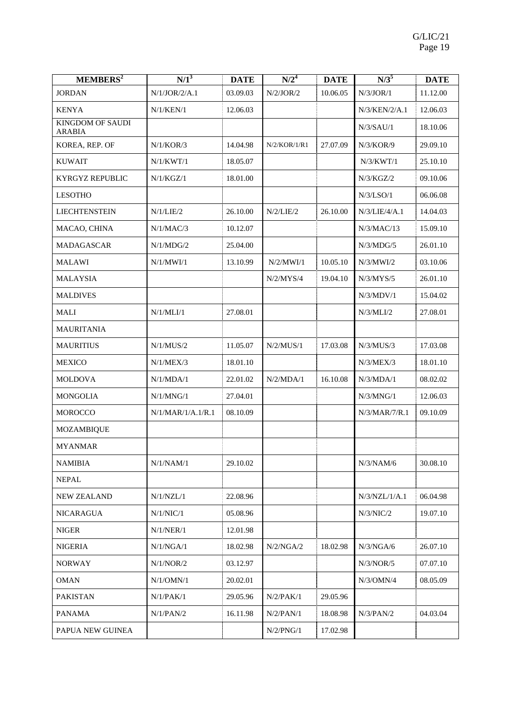| MEMBERS <sup>2</sup>              | $N/1^3$           | <b>DATE</b> | N/2 <sup>4</sup> | <b>DATE</b> | $N/3^5$       | <b>DATE</b> |
|-----------------------------------|-------------------|-------------|------------------|-------------|---------------|-------------|
| <b>JORDAN</b>                     | N/1/JOR/2/A.1     | 03.09.03    | N/2/JOR/2        | 10.06.05    | N/3/JOR/1     | 11.12.00    |
| <b>KENYA</b>                      | N/1/KEN/1         | 12.06.03    |                  |             | N/3/KEN/2/A.1 | 12.06.03    |
| KINGDOM OF SAUDI<br><b>ARABIA</b> |                   |             |                  |             | N/3/SAU/1     | 18.10.06    |
| KOREA, REP. OF                    | N/1/KOR/3         | 14.04.98    | N/2/KOR/1/R1     | 27.07.09    | N/3/KOR/9     | 29.09.10    |
| <b>KUWAIT</b>                     | N/1/KWT/1         | 18.05.07    |                  |             | N/3/KWT/1     | 25.10.10    |
| KYRGYZ REPUBLIC                   | N/1/KGZ/1         | 18.01.00    |                  |             | N/3/KGZ/2     | 09.10.06    |
| <b>LESOTHO</b>                    |                   |             |                  |             | N/3/LSO/1     | 06.06.08    |
| <b>LIECHTENSTEIN</b>              | N/1/LIE/2         | 26.10.00    | N/2/LIE/2        | 26.10.00    | N/3/LIE/4/A.1 | 14.04.03    |
| MACAO, CHINA                      | N/1/MAC/3         | 10.12.07    |                  |             | N/3/MAC/13    | 15.09.10    |
| MADAGASCAR                        | N/1/MDG/2         | 25.04.00    |                  |             | N/3/MDG/5     | 26.01.10    |
| <b>MALAWI</b>                     | N/1/MWI/1         | 13.10.99    | N/2/MWI/1        | 10.05.10    | N/3/MWI/2     | 03.10.06    |
| <b>MALAYSIA</b>                   |                   |             | $\rm N/2/MYS/4$  | 19.04.10    | N/3/MYS/5     | 26.01.10    |
| <b>MALDIVES</b>                   |                   |             |                  |             | N/3/MDV/1     | 15.04.02    |
| <b>MALI</b>                       | N/1/MLI/1         | 27.08.01    |                  |             | N/3/MLI/2     | 27.08.01    |
| <b>MAURITANIA</b>                 |                   |             |                  |             |               |             |
| <b>MAURITIUS</b>                  | N/1/MUS/2         | 11.05.07    | N/2/MUS/1        | 17.03.08    | N/3/MUS/3     | 17.03.08    |
| <b>MEXICO</b>                     | N/1/MEX/3         | 18.01.10    |                  |             | N/3/MEX/3     | 18.01.10    |
| MOLDOVA                           | N/1/MDA/1         | 22.01.02    | N/2/MDA/1        | 16.10.08    | N/3/MDA/1     | 08.02.02    |
| <b>MONGOLIA</b>                   | N/1/MNG/1         | 27.04.01    |                  |             | N/3/MNG/1     | 12.06.03    |
| <b>MOROCCO</b>                    | N/1/MAR/1/A.1/R.1 | 08.10.09    |                  |             | N/3/MAR/7/R.1 | 09.10.09    |
| MOZAMBIQUE                        |                   |             |                  |             |               |             |
| <b>MYANMAR</b>                    |                   |             |                  |             |               |             |
| <b>NAMIBIA</b>                    | N/1/NAM/1         | 29.10.02    |                  |             | N/3/NAM/6     | 30.08.10    |
| <b>NEPAL</b>                      |                   |             |                  |             |               |             |
| <b>NEW ZEALAND</b>                | N/1/NZL/1         | 22.08.96    |                  |             | N/3/NZL/1/A.1 | 06.04.98    |
| NICARAGUA                         | N/1/NIC/1         | 05.08.96    |                  |             | N/3/NIC/2     | 19.07.10    |
| <b>NIGER</b>                      | N/1/NER/1         | 12.01.98    |                  |             |               |             |
| <b>NIGERIA</b>                    | $\rm N/1/NGA/1$   | 18.02.98    | N/2/NGA/2        | 18.02.98    | N/3/NGA/6     | 26.07.10    |
| <b>NORWAY</b>                     | N/1/NOR/2         | 03.12.97    |                  |             | N/3/NOR/5     | 07.07.10    |
| <b>OMAN</b>                       | N/1/OMN/1         | 20.02.01    |                  |             | $N/3$ /OMN/4  | 08.05.09    |
| <b>PAKISTAN</b>                   | N/1/PAK/1         | 29.05.96    | $N/2$ / $PAK/1$  | 29.05.96    |               |             |
| PANAMA                            | N/1/PAN/2         | 16.11.98    | $N/2$ /PAN/1     | 18.08.98    | $N/3$ /PAN/2  | 04.03.04    |
| PAPUA NEW GUINEA                  |                   |             | N/2/PNG/1        | 17.02.98    |               |             |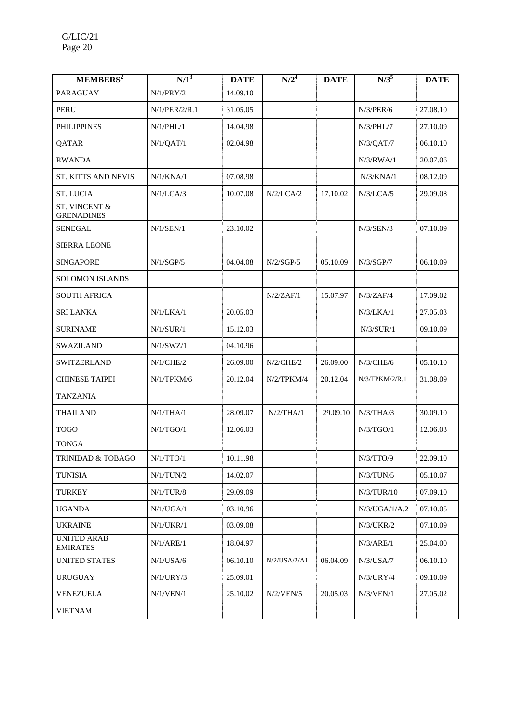| MEMBERS <sup>2</sup>                          | $\overline{N/1}^3$ | <b>DATE</b> | $N/2^4$          | <b>DATE</b> | $N/3^5$         | <b>DATE</b> |
|-----------------------------------------------|--------------------|-------------|------------------|-------------|-----------------|-------------|
| PARAGUAY                                      | N/1/PRY/2          | 14.09.10    |                  |             |                 |             |
| <b>PERU</b>                                   | N/1/PER/2/R.1      | 31.05.05    |                  |             | N/3/PER/6       | 27.08.10    |
| <b>PHILIPPINES</b>                            | N/1/PHL/1          | 14.04.98    |                  |             | $N/3$ / $PHL/7$ | 27.10.09    |
| QATAR                                         | N/1/QAT/1          | 02.04.98    |                  |             | N/3/QAT/7       | 06.10.10    |
| <b>RWANDA</b>                                 |                    |             |                  |             | N/3/RWA/1       | 20.07.06    |
| <b>ST. KITTS AND NEVIS</b>                    | N/1/KNA/1          | 07.08.98    |                  |             | N/3/KNA/1       | 08.12.09    |
| ST. LUCIA                                     | N/1/LCA/3          | 10.07.08    | N/2/LCA/2        | 17.10.02    | N/3/LCA/5       | 29.09.08    |
| <b>ST. VINCENT &amp;</b><br><b>GRENADINES</b> |                    |             |                  |             |                 |             |
| <b>SENEGAL</b>                                | N/1/SEN/1          | 23.10.02    |                  |             | $N/3$ /SEN/3    | 07.10.09    |
| <b>SIERRA LEONE</b>                           |                    |             |                  |             |                 |             |
| <b>SINGAPORE</b>                              | N/1/SGP/5          | 04.04.08    | N/2/SGP/5        | 05.10.09    | N/3/SGP/7       | 06.10.09    |
| <b>SOLOMON ISLANDS</b>                        |                    |             |                  |             |                 |             |
| <b>SOUTH AFRICA</b>                           |                    |             | N/2/ZAF/1        | 15.07.97    | N/3/ZAF/4       | 17.09.02    |
| <b>SRI LANKA</b>                              | N/1/LKA/1          | 20.05.03    |                  |             | N/3/LKA/1       | 27.05.03    |
| <b>SURINAME</b>                               | N/1/SUR/1          | 15.12.03    |                  |             | N/3/SUR/1       | 09.10.09    |
| <b>SWAZILAND</b>                              | N/1/SWZ/1          | 04.10.96    |                  |             |                 |             |
| <b>SWITZERLAND</b>                            | N/1/CHE/2          | 26.09.00    | $N/2$ /CHE/2     | 26.09.00    | $N/3$ /CHE/6    | 05.10.10    |
| <b>CHINESE TAIPEI</b>                         | N/1/TPKM/6         | 20.12.04    | $N/2$ /TPK $M/4$ | 20.12.04    | N/3/TPKM/2/R.1  | 31.08.09    |
| <b>TANZANIA</b>                               |                    |             |                  |             |                 |             |
| <b>THAILAND</b>                               | N/1/THA/1          | 28.09.07    | N/2/THA/1        | 29.09.10    | $N/3$ /THA/3    | 30.09.10    |
| <b>TOGO</b>                                   | N/1/TGO/1          | 12.06.03    |                  |             | N/3/TGO/1       | 12.06.03    |
| <b>TONGA</b>                                  |                    |             |                  |             |                 |             |
| TRINIDAD & TOBAGO                             | N/1/TTO/1          | 10.11.98    |                  |             | N/3/TTO/9       | 22.09.10    |
| <b>TUNISIA</b>                                | N/1/TUN/2          | 14.02.07    |                  |             | N/3/TUN/5       | 05.10.07    |
| <b>TURKEY</b>                                 | N/1/TUR/8          | 29.09.09    |                  |             | N/3/TUR/10      | 07.09.10    |
| <b>UGANDA</b>                                 | N/1/UGA/1          | 03.10.96    |                  |             | N/3/UGA/1/A.2   | 07.10.05    |
| <b>UKRAINE</b>                                | N/1/UKR/1          | 03.09.08    |                  |             | N/3/UKR/2       | 07.10.09    |
| <b>UNITED ARAB</b><br><b>EMIRATES</b>         | N/1/ARE/1          | 18.04.97    |                  |             | N/3/ARE/1       | 25.04.00    |
| <b>UNITED STATES</b>                          | N/1/USA/6          | 06.10.10    | N/2/USA/2/A1     | 06.04.09    | N/3/USA/7       | 06.10.10    |
| <b>URUGUAY</b>                                | N/1/URY/3          | 25.09.01    |                  |             | N/3/URY/4       | 09.10.09    |
| VENEZUELA                                     | N/1/VEN/1          | 25.10.02    | N/2/VEN/5        | 20.05.03    | N/3/VEN/1       | 27.05.02    |
| <b>VIETNAM</b>                                |                    |             |                  |             |                 |             |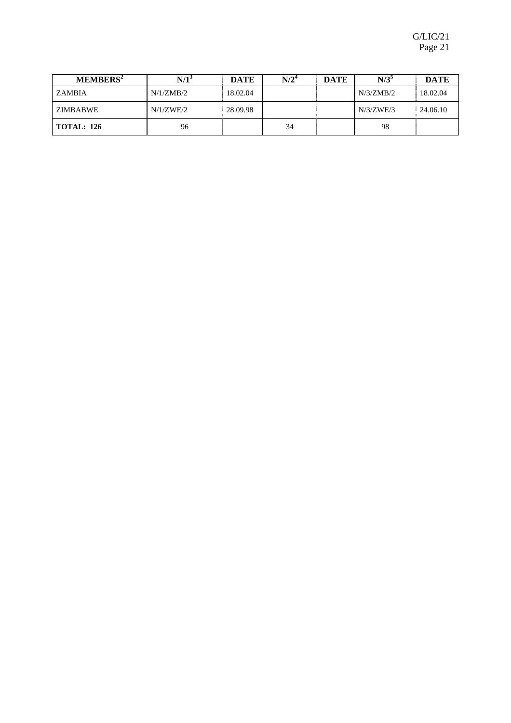| MEMBERS <sup>2</sup> | N/1       | <b>DATE</b> | $N/2^4$ | <b>DATE</b> | $N/3^5$   | <b>DATE</b> |
|----------------------|-----------|-------------|---------|-------------|-----------|-------------|
| ZAMBIA               | N/1/ZMB/2 | 18.02.04    |         |             | N/3/ZMB/2 | 18.02.04    |
| ZIMBABWE             | N/1/ZWE/2 | 28.09.98    |         |             | N/3/ZWE/3 | 24.06.10    |
| <b>TOTAL: 126</b>    | 96        |             | 34      |             | 98        |             |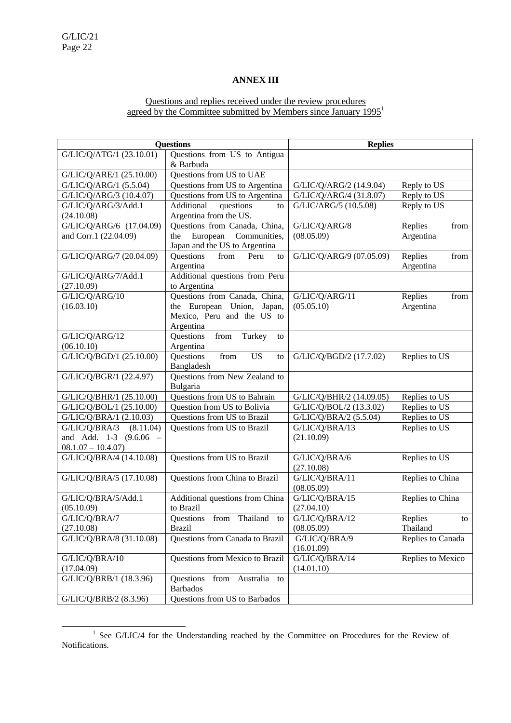# **ANNEX III**

# Questions and replies received under the review procedures agreed by the Committee submitted by Members since January 1995<sup>1</sup>

|                             | <b>Questions</b>                          | <b>Replies</b>               |                   |  |
|-----------------------------|-------------------------------------------|------------------------------|-------------------|--|
| G/LIC/Q/ATG/1 (23.10.01)    | Questions from US to Antigua              |                              |                   |  |
|                             | & Barbuda                                 |                              |                   |  |
| G/LIC/Q/ARE/1 (25.10.00)    | Questions from US to UAE                  |                              |                   |  |
| G/LIC/Q/ARG/1 (5.5.04)      | Questions from US to Argentina            | G/LIC/Q/ARG/2 (14.9.04)      | Reply to US       |  |
| G/LIC/Q/ARG/3 (10.4.07)     | Questions from US to Argentina            | G/LIC/Q/ARG/4 (31.8.07)      | Reply to US       |  |
| G/LIC/Q/ARG/3/Add.1         | Additional<br>questions<br>to             | G/LIC/ARG/5 (10.5.08)        | Reply to US       |  |
| (24.10.08)                  | Argentina from the US.                    |                              |                   |  |
| G/LIC/Q/ARG/6 (17.04.09)    | Questions from Canada, China,             | G/LIC/Q/ARG/8                | Replies<br>from   |  |
| and Corr.1 (22.04.09)       | European<br>Communities,<br>the           | (08.05.09)                   | Argentina         |  |
|                             | Japan and the US to Argentina             |                              |                   |  |
| G/LIC/Q/ARG/7 (20.04.09)    | Questions<br>from<br>Peru<br>to           | G/LIC/Q/ARG/9 (07.05.09)     | Replies<br>from   |  |
|                             | Argentina                                 |                              | Argentina         |  |
| G/LIC/Q/ARG/7/Add.1         | Additional questions from Peru            |                              |                   |  |
| (27.10.09)                  | to Argentina                              |                              |                   |  |
| G/LIC/Q/ARG/10              | Questions from Canada, China,             | G/LIC/Q/ARG/11               | Replies<br>from   |  |
| (16.03.10)                  | the European Union, Japan,                | (05.05.10)                   | Argentina         |  |
|                             | Mexico, Peru and the US to                |                              |                   |  |
|                             | Argentina                                 |                              |                   |  |
| G/LIC/Q/ARG/12              | ${\rm from}$<br>Turkey<br>Questions<br>to |                              |                   |  |
| (06.10.10)                  | Argentina                                 |                              |                   |  |
| G/LIC/Q/BGD/1 (25.10.00)    | from<br><b>US</b><br>Questions<br>to      | G/LIC/Q/BGD/2 (17.7.02)      | Replies to US     |  |
|                             | Bangladesh                                |                              |                   |  |
| G/LIC/Q/BGR/1 (22.4.97)     | Questions from New Zealand to             |                              |                   |  |
|                             | Bulgaria                                  |                              |                   |  |
| G/LIC/Q/BHR/1 (25.10.00)    | Questions from US to Bahrain              | G/LIC/Q/BHR/2 (14.09.05)     | Replies to US     |  |
| G/LIC/Q/BOL/1 (25.10.00)    | Question from US to Bolivia               | G/LIC/Q/BOL/2 (13.3.02)      | Replies to US     |  |
| G/LIC/Q/BRA/1 (2.10.03)     | Questions from US to Brazil               | G/LIC/Q/BRA/2 (5.5.04)       | Replies to US     |  |
| G/LIC/Q/BRA/3 (8.11.04)     | Questions from US to Brazil               | G/LIC/Q/BRA/13               | Replies to US     |  |
| and Add. 1-3<br>$(9.6.06 -$ |                                           | (21.10.09)                   |                   |  |
| $08.1.07 - 10.4.07$         |                                           |                              |                   |  |
| G/LIC/Q/BRA/4 (14.10.08)    | Questions from US to Brazil               | G/LIC/Q/BRA/6                | Replies to US     |  |
|                             | Questions from China to Brazil            | (27.10.08)                   | Replies to China  |  |
| G/LIC/Q/BRA/5 (17.10.08)    |                                           | G/LIC/Q/BRA/11<br>(08.05.09) |                   |  |
| G/LIC/Q/BRA/5/Add.1         | Additional questions from China           | G/LIC/Q/BRA/15               | Replies to China  |  |
| (05.10.09)                  | to Brazil                                 | (27.04.10)                   |                   |  |
| G/LIC/Q/BRA/7               | Questions from Thailand to                | G/LIC/Q/BRA/12               | Replies<br>to     |  |
| (27.10.08)                  | Brazil                                    | (08.05.09)                   | Thailand          |  |
| G/LIC/Q/BRA/8 (31.10.08)    | Questions from Canada to Brazil           | G/LIC/Q/BRA/9                | Replies to Canada |  |
|                             |                                           | (16.01.09)                   |                   |  |
| G/LIC/Q/BRA/10              | Questions from Mexico to Brazil           | G/LIC/Q/BRA/14               | Replies to Mexico |  |
| (17.04.09)                  |                                           | (14.01.10)                   |                   |  |
| G/LIC/Q/BRB/1 (18.3.96)     | Questions<br>from<br>Australia to         |                              |                   |  |
|                             | <b>Barbados</b>                           |                              |                   |  |
| G/LIC/Q/BRB/2 (8.3.96)      | Questions from US to Barbados             |                              |                   |  |
|                             |                                           |                              |                   |  |

<sup>&</sup>lt;u>1</u>  $1$  See G/LIC/4 for the Understanding reached by the Committee on Procedures for the Review of Notifications.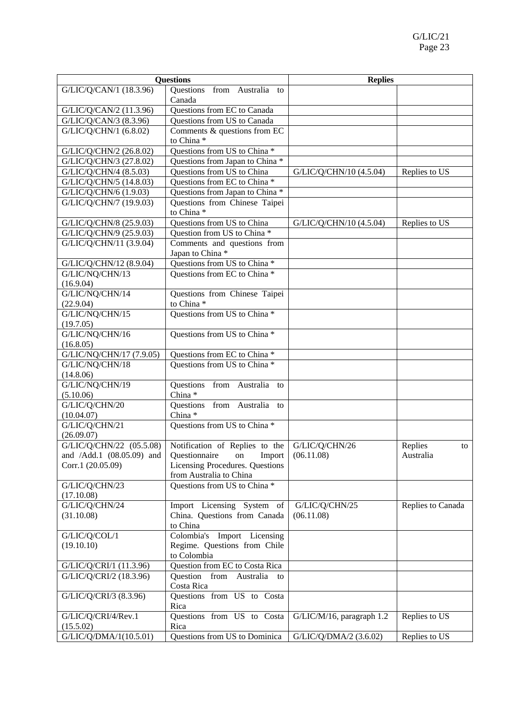| Questions                   |                                                 | <b>Replies</b>            |                   |  |
|-----------------------------|-------------------------------------------------|---------------------------|-------------------|--|
| G/LIC/Q/CAN/1 (18.3.96)     | Questions from Australia to                     |                           |                   |  |
|                             | Canada                                          |                           |                   |  |
| G/LIC/Q/CAN/2 (11.3.96)     | Questions from EC to Canada                     |                           |                   |  |
| G/LIC/Q/CAN/3 (8.3.96)      | Questions from US to Canada                     |                           |                   |  |
| G/LIC/Q/CHN/1 (6.8.02)      | Comments & questions from EC                    |                           |                   |  |
|                             | to China*                                       |                           |                   |  |
| G/LIC/Q/CHN/2 (26.8.02)     | Questions from US to China *                    |                           |                   |  |
| G/LIC/Q/CHN/3 (27.8.02)     | Questions from Japan to China *                 |                           |                   |  |
| G/LIC/Q/CHN/4 (8.5.03)      | Questions from US to China                      | G/LIC/Q/CHN/10 (4.5.04)   | Replies to US     |  |
| G/LIC/Q/CHN/5 (14.8.03)     | Questions from EC to China *                    |                           |                   |  |
| G/LIC/Q/CHN/6 (1.9.03)      | Questions from Japan to China *                 |                           |                   |  |
| G/LIC/Q/CHN/7 (19.9.03)     | Questions from Chinese Taipei                   |                           |                   |  |
|                             | to China*                                       |                           |                   |  |
| G/LIC/Q/CHN/8 (25.9.03)     | Questions from US to China                      | G/LIC/Q/CHN/10 (4.5.04)   | Replies to US     |  |
| G/LIC/Q/CHN/9 (25.9.03)     | Question from US to China *                     |                           |                   |  |
| G/LIC/Q/CHN/11 (3.9.04)     | Comments and questions from                     |                           |                   |  |
|                             | Japan to China*                                 |                           |                   |  |
| G/LIC/Q/CHN/12 (8.9.04)     | Questions from US to China *                    |                           |                   |  |
| G/LIC/NQ/CHN/13             | Questions from EC to China *                    |                           |                   |  |
| (16.9.04)                   |                                                 |                           |                   |  |
| G/LIC/NQ/CHN/14             | Questions from Chinese Taipei                   |                           |                   |  |
| (22.9.04)                   | to China*                                       |                           |                   |  |
| G/LIC/NQ/CHN/15             | Questions from US to China *                    |                           |                   |  |
| (19.7.05)                   |                                                 |                           |                   |  |
| G/LIC/NQ/CHN/16             | Questions from US to China *                    |                           |                   |  |
| (16.8.05)                   |                                                 |                           |                   |  |
| G/LIC/NQ/CHN/17 (7.9.05)    | Questions from EC to China *                    |                           |                   |  |
| G/LIC/NQ/CHN/18             | Questions from US to China *                    |                           |                   |  |
| (14.8.06)                   |                                                 |                           |                   |  |
| G/LIC/NQ/CHN/19             | Questions from Australia to                     |                           |                   |  |
| (5.10.06)                   | China*                                          |                           |                   |  |
| G/LIC/Q/CHN/20              | Questions from Australia to                     |                           |                   |  |
| (10.04.07)                  | China <sup>*</sup>                              |                           |                   |  |
| G/LIC/Q/CHN/21              | Questions from US to China *                    |                           |                   |  |
| (26.09.07)                  |                                                 |                           |                   |  |
| G/LIC/Q/CHN/22 (05.5.08)    | Notification of Replies to the $G/LIC/Q/CHN/26$ |                           | Replies<br>to     |  |
| and /Add.1 $(08.05.09)$ and | Questionnaire on Import                         | (06.11.08)                | Australia         |  |
| Corr.1 (20.05.09)           | Licensing Procedures. Questions                 |                           |                   |  |
|                             | from Australia to China                         |                           |                   |  |
| G/LIC/Q/CHN/23              | Questions from US to China *                    |                           |                   |  |
| (17.10.08)                  |                                                 |                           |                   |  |
| G/LIC/Q/CHN/24              | Import Licensing System of                      | G/LIC/Q/CHN/25            | Replies to Canada |  |
| (31.10.08)                  | China. Questions from Canada                    | (06.11.08)                |                   |  |
|                             | to China                                        |                           |                   |  |
| G/LIC/Q/COL/1               | Colombia's Import Licensing                     |                           |                   |  |
| (19.10.10)                  | Regime. Questions from Chile                    |                           |                   |  |
|                             | to Colombia                                     |                           |                   |  |
| G/LIC/Q/CRI/1 (11.3.96)     | Question from EC to Costa Rica                  |                           |                   |  |
| G/LIC/Q/CRI/2 (18.3.96)     | Question from Australia<br>to                   |                           |                   |  |
|                             | Costa Rica                                      |                           |                   |  |
| G/LIC/Q/CRI/3 (8.3.96)      | Questions from US to Costa                      |                           |                   |  |
|                             | Rica                                            |                           |                   |  |
| G/LIC/Q/CRI/4/Rev.1         | Questions from US to Costa                      | G/LIC/M/16, paragraph 1.2 | Replies to US     |  |
| (15.5.02)                   | Rica                                            |                           |                   |  |
| G/LIC/Q/DMA/1(10.5.01)      | Questions from US to Dominica                   | G/LIC/Q/DMA/2 (3.6.02)    | Replies to US     |  |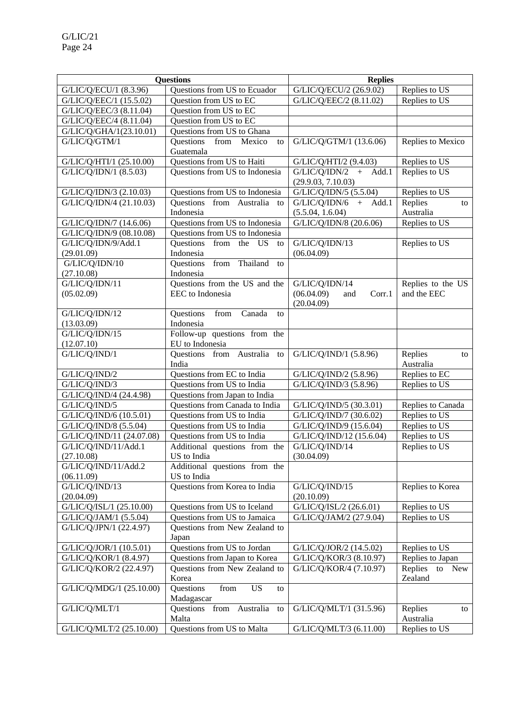|                                    | <b>Questions</b>                                           | <b>Replies</b>                                           |                                        |  |
|------------------------------------|------------------------------------------------------------|----------------------------------------------------------|----------------------------------------|--|
| G/LIC/Q/ECU/1 (8.3.96)             | Questions from US to Ecuador                               | G/LIC/Q/ECU/2 (26.9.02)                                  | Replies to US                          |  |
| G/LIC/Q/EEC/1 (15.5.02)            | Question from US to EC                                     | G/LIC/Q/EEC/2 (8.11.02)                                  | Replies to US                          |  |
| G/LIC/Q/EEC/3 (8.11.04)            | Question from US to EC                                     |                                                          |                                        |  |
| G/LIC/Q/EEC/4 (8.11.04)            | Question from US to EC                                     |                                                          |                                        |  |
| G/LIC/Q/GHA/1(23.10.01)            | Questions from US to Ghana                                 |                                                          |                                        |  |
| G/LIC/Q/GTM/1                      | Questions from<br>Mexico<br>to                             | G/LIC/Q/GTM/1 (13.6.06)                                  | Replies to Mexico                      |  |
|                                    | Guatemala                                                  |                                                          |                                        |  |
| G/LIC/Q/HTI/1 (25.10.00)           | Questions from US to Haiti                                 | G/LIC/Q/HTI/2 (9.4.03)                                   | Replies to US                          |  |
| G/LIC/Q/IDN/1 (8.5.03)             | Questions from US to Indonesia                             | $\overline{G/LIC/Q/IDN/2}$ + Add.1<br>(29.9.03, 7.10.03) | Replies to US                          |  |
| G/LIC/Q/IDN/3 (2.10.03)            | Questions from US to Indonesia                             | G/LIC/Q/IDN/5 (5.5.04)                                   | Replies to US                          |  |
| G/LIC/Q/IDN/4 (21.10.03)           | Questions from Australia<br>to                             | $G/LIC/Q/IDN/6 + Add.1$                                  | Replies<br>to                          |  |
|                                    | Indonesia                                                  | (5.5.04, 1.6.04)                                         | Australia                              |  |
| G/LIC/Q/IDN/7 (14.6.06)            | Questions from US to Indonesia                             | G/LIC/Q/IDN/8 (20.6.06)                                  | Replies to US                          |  |
| G/LIC/Q/IDN/9 (08.10.08)           | Questions from US to Indonesia                             |                                                          |                                        |  |
| G/LIC/Q/IDN/9/Add.1                | Ouestions from the US<br>to                                | G/LIC/Q/IDN/13                                           | Replies to US                          |  |
| (29.01.09)                         | Indonesia                                                  | (06.04.09)                                               |                                        |  |
| G/LIC/Q/IDN/10                     | from Thailand to<br>Questions                              |                                                          |                                        |  |
| (27.10.08)                         | Indonesia                                                  |                                                          |                                        |  |
| G/LIC/Q/IDN/11                     | Questions from the US and the<br>EEC to Indonesia          | G/LIC/Q/IDN/14<br>(06.04.09)<br>Corr.1                   | Replies to the US<br>and the EEC       |  |
| (05.02.09)                         |                                                            | and<br>(20.04.09)                                        |                                        |  |
| G/LIC/Q/IDN/12                     | Canada<br>Questions<br>from<br>to                          |                                                          |                                        |  |
| (13.03.09)                         | Indonesia                                                  |                                                          |                                        |  |
| G/LIC/Q/IDN/15                     | Follow-up questions from the                               |                                                          |                                        |  |
| (12.07.10)                         | EU to Indonesia                                            |                                                          |                                        |  |
| G/LIC/Q/IND/1                      | Questions from Australia<br>to                             | G/LIC/Q/IND/1 (5.8.96)                                   | Replies<br>to                          |  |
|                                    | India                                                      |                                                          | Australia                              |  |
| G/LIC/Q/IND/2                      | Questions from EC to India                                 | G/LIC/Q/IND/2 (5.8.96)                                   | Replies to EC                          |  |
| G/LIC/Q/IND/3                      | Questions from US to India                                 | G/LIC/Q/IND/3 (5.8.96)                                   | Replies to US                          |  |
| G/LIC/Q/IND/4 (24.4.98)            | Questions from Japan to India                              |                                                          |                                        |  |
| G/LIC/Q/IND/5                      | Questions from Canada to India                             | G/LIC/Q/IND/5 (30.3.01)                                  | Replies to Canada                      |  |
| G/LIC/Q/IND/6 (10.5.01)            | Questions from US to India                                 | G/LIC/Q/IND/7 (30.6.02)                                  | Replies to US                          |  |
| G/LIC/Q/IND/8 (5.5.04)             | Questions from US to India                                 | G/LIC/Q/IND/9 (15.6.04)                                  | Replies to US                          |  |
| G/LIC/Q/IND/11 (24.07.08)          | Questions from US to India                                 | G/LIC/Q/IND/12 (15.6.04)                                 | Replies to US                          |  |
| G/LIC/Q/IND/11/Add.1               | Additional questions from the                              | G/LIC/Q/IND/14                                           | Replies to US                          |  |
| (27.10.08)                         | US to India                                                | (30.04.09)                                               |                                        |  |
| G/LIC/Q/IND/11/Add.2<br>(06.11.09) | Additional questions from the<br>US to India               |                                                          |                                        |  |
| G/LIC/Q/IND/13                     | Questions from Korea to India                              | G/LIC/Q/IND/15                                           | Replies to Korea                       |  |
| (20.04.09)                         |                                                            | (20.10.09)                                               |                                        |  |
| G/LIC/Q/ISL/1 (25.10.00)           | Questions from US to Iceland                               | G/LIC/Q/ISL/2 (26.6.01)                                  | Replies to US                          |  |
| G/LIC/Q/JAM/1 (5.5.04)             | Questions from US to Jamaica                               | G/LIC/Q/JAM/2 (27.9.04)                                  | Replies to US                          |  |
| G/LIC/Q/JPN/1 (22.4.97)            | Questions from New Zealand to<br>Japan                     |                                                          |                                        |  |
| G/LIC/Q/JOR/1 (10.5.01)            | Questions from US to Jordan                                | G/LIC/Q/JOR/2 (14.5.02)                                  | Replies to US                          |  |
| G/LIC/Q/KOR/1 (8.4.97)             | Questions from Japan to Korea                              | G/LIC/Q/KOR/3 (8.10.97)                                  | Replies to Japan                       |  |
| G/LIC/Q/KOR/2 (22.4.97)            | Questions from New Zealand to<br>Korea                     | G/LIC/Q/KOR/4 (7.10.97)                                  | Replies<br>to<br><b>New</b><br>Zealand |  |
| G/LIC/Q/MDG/1 (25.10.00)           | Questions<br>${\rm from}$<br><b>US</b><br>to<br>Madagascar |                                                          |                                        |  |
| G/LIC/Q/MLT/1                      | Questions from Australia<br>to<br>Malta                    | G/LIC/Q/MLT/1 (31.5.96)                                  | Replies<br>to<br>Australia             |  |
| G/LIC/Q/MLT/2 (25.10.00)           | Questions from US to Malta                                 | G/LIC/Q/MLT/3 (6.11.00)                                  | Replies to US                          |  |
|                                    |                                                            |                                                          |                                        |  |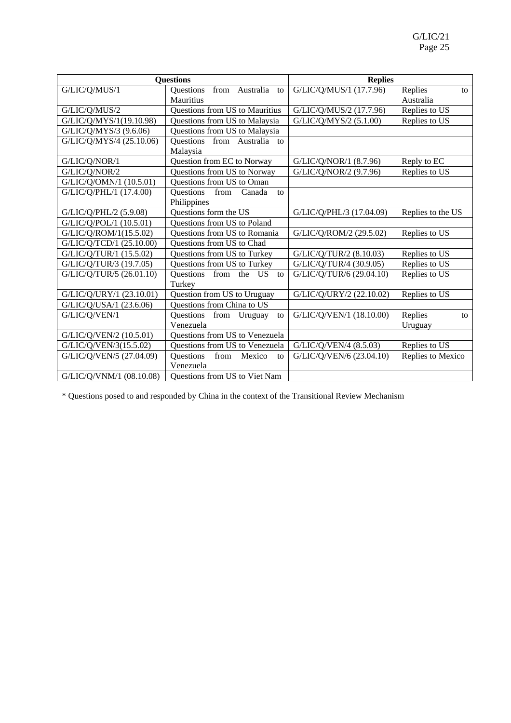|                          | <b>Questions</b>                           | <b>Replies</b>           |                   |
|--------------------------|--------------------------------------------|--------------------------|-------------------|
| G/LIC/Q/MUS/1            | from Australia to<br>Questions             | G/LIC/Q/MUS/1 (17.7.96)  | Replies<br>to     |
|                          | Mauritius                                  |                          | Australia         |
| G/LIC/Q/MUS/2            | Questions from US to Mauritius             | G/LIC/Q/MUS/2 (17.7.96)  | Replies to US     |
| G/LIC/Q/MYS/1(19.10.98)  | Questions from US to Malaysia              | G/LIC/Q/MYS/2 (5.1.00)   | Replies to US     |
| G/LIC/Q/MYS/3 (9.6.06)   | Questions from US to Malaysia              |                          |                   |
| G/LIC/Q/MYS/4 (25.10.06) | Questions from Australia<br>$\overline{t}$ |                          |                   |
|                          | Malaysia                                   |                          |                   |
| G/LIC/Q/NOR/1            | Question from EC to Norway                 | G/LIC/Q/NOR/1 (8.7.96)   | Reply to EC       |
| G/LIC/Q/NOR/2            | Questions from US to Norway                | G/LIC/Q/NOR/2 (9.7.96)   | Replies to US     |
| G/LIC/Q/OMN/1 (10.5.01)  | Questions from US to Oman                  |                          |                   |
| G/LIC/Q/PHL/1 (17.4.00)  | <b>Ouestions</b><br>from<br>Canada<br>to   |                          |                   |
|                          | Philippines                                |                          |                   |
| G/LIC/Q/PHL/2 (5.9.08)   | Questions form the US                      | G/LIC/Q/PHL/3 (17.04.09) | Replies to the US |
| G/LIC/Q/POL/1 (10.5.01)  | Questions from US to Poland                |                          |                   |
| G/LIC/Q/ROM/1(15.5.02)   | Questions from US to Romania               | G/LIC/Q/ROM/2 (29.5.02)  | Replies to US     |
| G/LIC/Q/TCD/1 (25.10.00) | Questions from US to Chad                  |                          |                   |
| G/LIC/Q/TUR/1 (15.5.02)  | Questions from US to Turkey                | G/LIC/Q/TUR/2 (8.10.03)  | Replies to US     |
| G/LIC/Q/TUR/3 (19.7.05)  | Questions from US to Turkey                | G/LIC/Q/TUR/4 (30.9.05)  | Replies to US     |
| G/LIC/Q/TUR/5 (26.01.10) | Questions from the US<br>to                | G/LIC/Q/TUR/6 (29.04.10) | Replies to US     |
|                          | Turkey                                     |                          |                   |
| G/LIC/Q/URY/1 (23.10.01) | Question from US to Uruguay                | G/LIC/Q/URY/2 (22.10.02) | Replies to US     |
| G/LIC/Q/USA/1 (23.6.06)  | Questions from China to US                 |                          |                   |
| G/LIC/Q/VEN/1            | Questions from Uruguay<br>to               | G/LIC/Q/VEN/1 (18.10.00) | Replies<br>to     |
|                          | Venezuela                                  |                          | Uruguay           |
| G/LIC/Q/VEN/2 (10.5.01)  | Questions from US to Venezuela             |                          |                   |
| G/LIC/Q/VEN/3(15.5.02)   | Questions from US to Venezuela             | G/LIC/Q/VEN/4 (8.5.03)   | Replies to US     |
| G/LIC/Q/VEN/5 (27.04.09) | from<br>Questions<br>Mexico<br>to          | G/LIC/Q/VEN/6 (23.04.10) | Replies to Mexico |
|                          | Venezuela                                  |                          |                   |
| G/LIC/Q/VNM/1 (08.10.08) | <b>Ouestions from US to Viet Nam</b>       |                          |                   |

\* Questions posed to and responded by China in the context of the Transitional Review Mechanism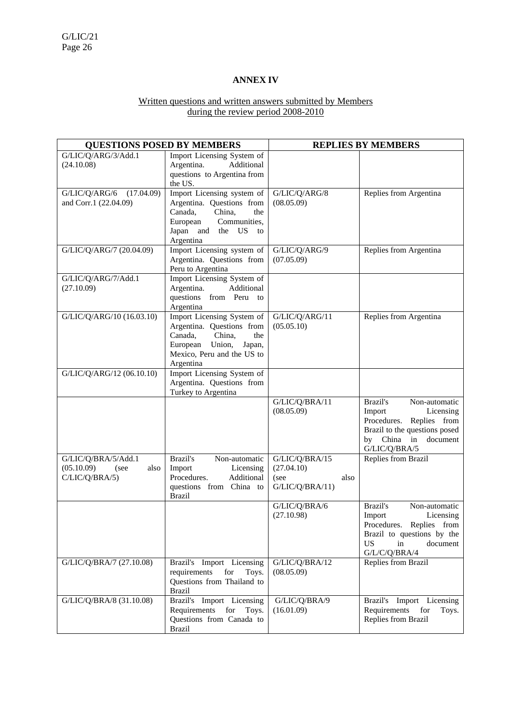# **ANNEX IV**

#### Written questions and written answers submitted by Members during the review period 2008-2010

| <b>QUESTIONS POSED BY MEMBERS</b>                                   |                                                                                                                                                                | <b>REPLIES BY MEMBERS</b>                                       |                                                                                                                                                                 |  |
|---------------------------------------------------------------------|----------------------------------------------------------------------------------------------------------------------------------------------------------------|-----------------------------------------------------------------|-----------------------------------------------------------------------------------------------------------------------------------------------------------------|--|
| G/LIC/Q/ARG/3/Add.1<br>(24.10.08)                                   | Import Licensing System of<br>Additional<br>Argentina.<br>questions to Argentina from<br>the US.                                                               |                                                                 |                                                                                                                                                                 |  |
| G/LIC/Q/ARG/6<br>(17.04.09)<br>and Corr.1 (22.04.09)                | Import Licensing system of<br>Argentina. Questions from<br>Canada,<br>China,<br>the<br>European<br>Communities,<br>Japan and the US<br>to<br>Argentina         | G/LIC/Q/ARG/8<br>(08.05.09)                                     | Replies from Argentina                                                                                                                                          |  |
| G/LIC/Q/ARG/7 (20.04.09)                                            | Import Licensing system of<br>Argentina. Questions from<br>Peru to Argentina                                                                                   | G/LIC/Q/ARG/9<br>(07.05.09)                                     | Replies from Argentina                                                                                                                                          |  |
| G/LIC/Q/ARG/7/Add.1<br>(27.10.09)                                   | Import Licensing System of<br>Argentina.<br>Additional<br>questions from Peru to<br>Argentina                                                                  |                                                                 |                                                                                                                                                                 |  |
| G/LIC/Q/ARG/10 (16.03.10)                                           | Import Licensing System of<br>Argentina. Questions from<br>Canada,<br>China,<br>the<br>European<br>Union,<br>Japan,<br>Mexico, Peru and the US to<br>Argentina | G/LIC/Q/ARG/11<br>(05.05.10)                                    | Replies from Argentina                                                                                                                                          |  |
| G/LIC/Q/ARG/12 (06.10.10)                                           | Import Licensing System of<br>Argentina. Questions from<br>Turkey to Argentina                                                                                 |                                                                 |                                                                                                                                                                 |  |
|                                                                     |                                                                                                                                                                | G/LIC/Q/BRA/11<br>(08.05.09)                                    | Brazil's<br>Non-automatic<br>Import<br>Licensing<br>Procedures.<br>Replies from<br>Brazil to the questions posed<br>by China<br>in<br>document<br>G/LIC/Q/BRA/5 |  |
| G/LIC/Q/BRA/5/Add.1<br>(05.10.09)<br>(see<br>also<br>C/LIC/Q/BRA/5) | Brazil's<br>Non-automatic<br>Import<br>Licensing<br>Procedures.<br>Additional<br>questions from China to<br><b>Brazil</b>                                      | G/LIC/Q/BRA/15<br>(27.04.10)<br>(see<br>also<br>G/LIC/Q/BRA/11) | Replies from Brazil                                                                                                                                             |  |
|                                                                     |                                                                                                                                                                | G/LIC/Q/BRA/6<br>(27.10.98)                                     | Brazil's<br>Non-automatic<br>Licensing<br>Import<br>Procedures. Replies from<br>Brazil to questions by the<br><b>US</b><br>document<br>in<br>G/L/C/Q/BRA/4      |  |
| G/LIC/Q/BRA/7 (27.10.08)                                            | Brazil's Import Licensing<br>requirements<br>for<br>Toys.<br>Questions from Thailand to<br><b>Brazil</b>                                                       | G/LIC/Q/BRA/12<br>(08.05.09)                                    | Replies from Brazil                                                                                                                                             |  |
| G/LIC/Q/BRA/8 (31.10.08)                                            | Brazil's Import Licensing<br>Requirements<br>for<br>Toys.<br>Questions from Canada to<br><b>Brazil</b>                                                         | G/LIC/Q/BRA/9<br>(16.01.09)                                     | Brazil's Import Licensing<br>Requirements<br>for<br>Toys.<br>Replies from Brazil                                                                                |  |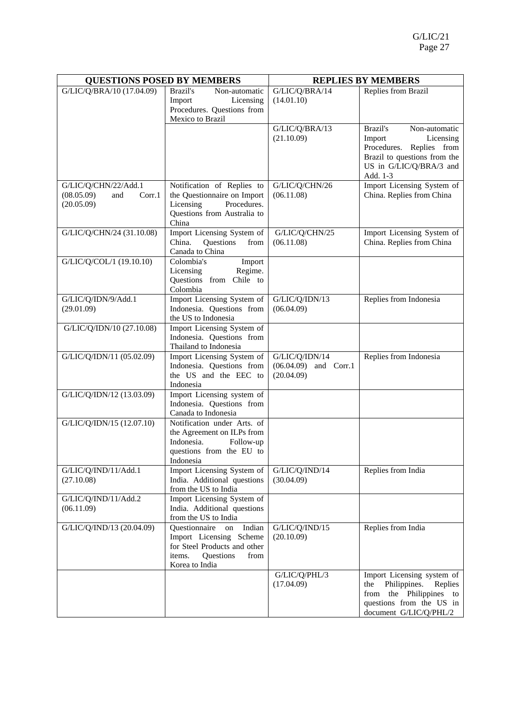| <b>QUESTIONS POSED BY MEMBERS</b>                                 |                                                                                                                                           | <b>REPLIES BY MEMBERS</b>                               |                                                                                                                                                        |  |
|-------------------------------------------------------------------|-------------------------------------------------------------------------------------------------------------------------------------------|---------------------------------------------------------|--------------------------------------------------------------------------------------------------------------------------------------------------------|--|
| G/LIC/Q/BRA/10 (17.04.09)                                         | Brazil's<br>Non-automatic<br>Import<br>Licensing<br>Procedures. Questions from<br>Mexico to Brazil                                        | G/LIC/Q/BRA/14<br>(14.01.10)                            | Replies from Brazil                                                                                                                                    |  |
|                                                                   |                                                                                                                                           | G/LIC/Q/BRA/13<br>(21.10.09)                            | Brazil's<br>Non-automatic<br>Import<br>Licensing<br>Procedures. Replies from<br>Brazil to questions from the<br>US in G/LIC/Q/BRA/3 and<br>Add. 1-3    |  |
| G/LIC/Q/CHN/22/Add.1<br>(08.05.09)<br>and<br>Corr.1<br>(20.05.09) | Notification of Replies to<br>the Questionnaire on Import<br>Licensing<br>Procedures.<br>Questions from Australia to<br>China             | G/LIC/Q/CHN/26<br>(06.11.08)                            | Import Licensing System of<br>China. Replies from China                                                                                                |  |
| G/LIC/Q/CHN/24 (31.10.08)                                         | Import Licensing System of<br>China.<br>Questions<br>from<br>Canada to China                                                              | G/LIC/Q/CHN/25<br>(06.11.08)                            | Import Licensing System of<br>China. Replies from China                                                                                                |  |
| G/LIC/Q/COL/1 (19.10.10)                                          | Colombia's<br>Import<br>Licensing<br>Regime.<br>Questions from Chile to<br>Colombia                                                       |                                                         |                                                                                                                                                        |  |
| G/LIC/Q/IDN/9/Add.1<br>(29.01.09)                                 | Import Licensing System of<br>Indonesia. Questions from<br>the US to Indonesia                                                            | G/LIC/Q/IDN/13<br>(06.04.09)                            | Replies from Indonesia                                                                                                                                 |  |
| G/LIC/Q/IDN/10 (27.10.08)                                         | Import Licensing System of<br>Indonesia. Questions from<br>Thailand to Indonesia                                                          |                                                         |                                                                                                                                                        |  |
| G/LIC/Q/IDN/11 (05.02.09)                                         | Import Licensing System of<br>Indonesia. Questions from<br>the US and the EEC to<br>Indonesia                                             | G/LIC/Q/IDN/14<br>$(06.04.09)$ and Corr.1<br>(20.04.09) | Replies from Indonesia                                                                                                                                 |  |
| G/LIC/Q/IDN/12 (13.03.09)                                         | Import Licensing system of<br>Indonesia. Questions from<br>Canada to Indonesia                                                            |                                                         |                                                                                                                                                        |  |
| G/LIC/Q/IDN/15 (12.07.10)                                         | Notification under Arts. of<br>the Agreement on ILPs from<br>Indonesia.<br>Follow-up<br>questions from the EU to<br>Indonesia             |                                                         |                                                                                                                                                        |  |
| G/LIC/Q/IND/11/Add.1<br>(27.10.08)                                | Import Licensing System of<br>India. Additional questions<br>from the US to India                                                         | G/LIC/Q/IND/14<br>(30.04.09)                            | Replies from India                                                                                                                                     |  |
| G/LIC/Q/IND/11/Add.2<br>(06.11.09)                                | Import Licensing System of<br>India. Additional questions<br>from the US to India                                                         |                                                         |                                                                                                                                                        |  |
| G/LIC/Q/IND/13 (20.04.09)                                         | Questionnaire<br>Indian<br>on<br>Import Licensing Scheme<br>for Steel Products and other<br>Questions<br>items.<br>from<br>Korea to India | G/LIC/Q/IND/15<br>(20.10.09)                            | Replies from India                                                                                                                                     |  |
|                                                                   |                                                                                                                                           | G/LIC/Q/PHL/3<br>(17.04.09)                             | Import Licensing system of<br>Philippines.<br>the<br>Replies<br>Philippines<br>the<br>from<br>to<br>questions from the US in<br>document G/LIC/Q/PHL/2 |  |